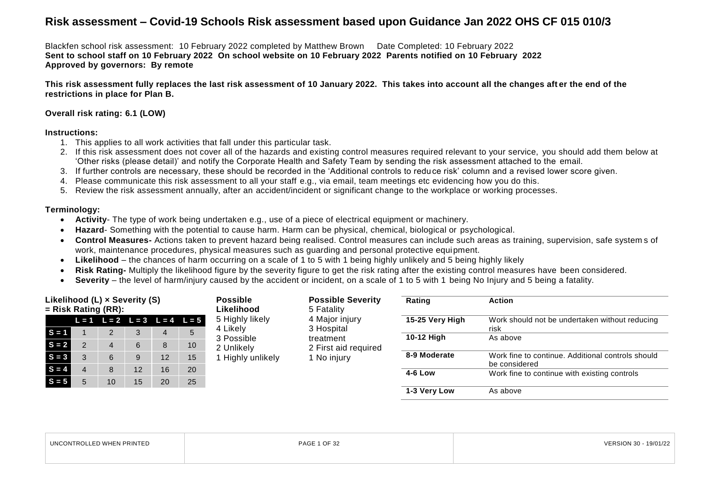Blackfen school risk assessment: 10 February 2022 completed by Matthew Brown Date Completed: 10 February 2022 **Sent to school staff on 10 February 2022 On school website on 10 February 2022 Parents notified on 10 February 2022 Approved by governors: By remote**

**This risk assessment fully replaces the last risk assessment of 10 January 2022. This takes into account all the changes aft er the end of the restrictions in place for Plan B.**

#### **Overall risk rating: 6.1 (LOW)**

#### **Instructions:**

- 1. This applies to all work activities that fall under this particular task.
- 2. If this risk assessment does not cover all of the hazards and existing control measures required relevant to your service, you should add them below at 'Other risks (please detail)' and notify the Corporate Health and Safety Team by sending the risk assessment attached to the email.
- 3. If further controls are necessary, these should be recorded in the 'Additional controls to reduce risk' column and a revised lower score given.
- 4. Please communicate this risk assessment to all your staff e.g., via email, team meetings etc evidencing how you do this.
- 5. Review the risk assessment annually, after an accident/incident or significant change to the workplace or working processes.

#### **Terminology:**

- **Activity** The type of work being undertaken e.g., use of a piece of electrical equipment or machinery.
- **Hazard** Something with the potential to cause harm. Harm can be physical, chemical, biological or psychological.
- **Control Measures-** Actions taken to prevent hazard being realised. Control measures can include such areas as training, supervision, safe system s of work, maintenance procedures, physical measures such as guarding and personal protective equipment.
- **Likelihood**  the chances of harm occurring on a scale of 1 to 5 with 1 being highly unlikely and 5 being highly likely
- **Risk Rating-** Multiply the likelihood figure by the severity figure to get the risk rating after the existing control measures have been considered.
- **Severity** the level of harm/injury caused by the accident or incident, on a scale of 1 to 5 with 1 being No Injury and 5 being a fatality.

|                       |  | Likelihood (L) x Severity (S) |    |            |                                         | <b>Possible</b>   | <b>Possible Severity</b> | Rating          | <b>Action</b>                                                      |
|-----------------------|--|-------------------------------|----|------------|-----------------------------------------|-------------------|--------------------------|-----------------|--------------------------------------------------------------------|
| $=$ Risk Rating (RR): |  |                               |    | Likelihood | 5 Fatality                              |                   |                          |                 |                                                                    |
|                       |  |                               |    |            | $L = 1$ $L = 2$ $L = 3$ $L = 4$ $L = 5$ | 5 Highly likely   | 4 Major injury           | 15-25 Very High | Work should not be undertaken without reducing                     |
| $S = 1$               |  | C                             | 3  | 4          |                                         | 4 Likelv          | 3 Hospital               |                 | risk                                                               |
|                       |  |                               |    |            |                                         | 3 Possible        | treatment                | 10-12 High      | As above                                                           |
| $S = 2$               |  | 4                             | 6  | 8          | 10                                      | 2 Unlikely        | 2 First aid required     |                 |                                                                    |
| $S = 3$               |  | 6                             | 9  | 12         | 15                                      | 1 Highly unlikely | 1 No injury              | 8-9 Moderate    | Work fine to continue. Additional controls should<br>be considered |
| $S = 4$               |  | 8                             | 12 | 16         | 20                                      |                   |                          |                 |                                                                    |
|                       |  |                               |    |            |                                         |                   |                          | 4-6 Low         | Work fine to continue with existing controls                       |
| $S = 5$               |  | 10                            | 15 | 20         | 25                                      |                   |                          |                 |                                                                    |
|                       |  |                               |    |            |                                         |                   |                          | 1-3 Very Low    | As above                                                           |

| LLED WHEN PRINTED | $\leq$ 1 OF 32 | VERSION 30 |
|-------------------|----------------|------------|
| <b>UNCONTROL</b>  | PAGE           | 19/01/22   |
|                   |                |            |
|                   |                |            |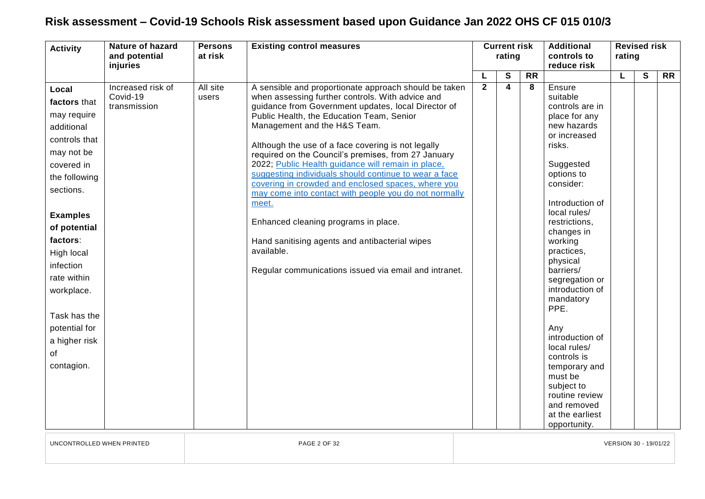| <b>Activity</b>                                                                                                                                                                                                                                                                                            | <b>Nature of hazard</b><br>and potential<br>injuries | <b>Persons</b><br>at risk | <b>Existing control measures</b>                                                                                                                                                                                                                                                                                                                                                                                                                                                                                                                                                                                                                                                                                                                                   |                | <b>Current risk</b><br>rating |                 | <b>Additional</b><br>controls to<br>reduce risk                                                                                                                                                                                                                                                                                                                                                                                                                                              | rating | <b>Revised risk</b> |                 |
|------------------------------------------------------------------------------------------------------------------------------------------------------------------------------------------------------------------------------------------------------------------------------------------------------------|------------------------------------------------------|---------------------------|--------------------------------------------------------------------------------------------------------------------------------------------------------------------------------------------------------------------------------------------------------------------------------------------------------------------------------------------------------------------------------------------------------------------------------------------------------------------------------------------------------------------------------------------------------------------------------------------------------------------------------------------------------------------------------------------------------------------------------------------------------------------|----------------|-------------------------------|-----------------|----------------------------------------------------------------------------------------------------------------------------------------------------------------------------------------------------------------------------------------------------------------------------------------------------------------------------------------------------------------------------------------------------------------------------------------------------------------------------------------------|--------|---------------------|-----------------|
|                                                                                                                                                                                                                                                                                                            |                                                      |                           |                                                                                                                                                                                                                                                                                                                                                                                                                                                                                                                                                                                                                                                                                                                                                                    |                | S                             | $\overline{RR}$ |                                                                                                                                                                                                                                                                                                                                                                                                                                                                                              | L      | S                   | $\overline{RR}$ |
| Local<br>factors that<br>may require<br>additional<br>controls that<br>may not be<br>covered in<br>the following<br>sections.<br><b>Examples</b><br>of potential<br>factors:<br>High local<br>infection<br>rate within<br>workplace.<br>Task has the<br>potential for<br>a higher risk<br>of<br>contagion. | Increased risk of<br>Covid-19<br>transmission        | All site<br>users         | A sensible and proportionate approach should be taken<br>when assessing further controls. With advice and<br>guidance from Government updates, local Director of<br>Public Health, the Education Team, Senior<br>Management and the H&S Team.<br>Although the use of a face covering is not legally<br>required on the Council's premises, from 27 January<br>2022; Public Health guidance will remain in place,<br>suggesting individuals should continue to wear a face<br>covering in crowded and enclosed spaces, where you<br>may come into contact with people you do not normally<br>meet.<br>Enhanced cleaning programs in place.<br>Hand sanitising agents and antibacterial wipes<br>available.<br>Regular communications issued via email and intranet. | $\overline{2}$ | 4                             | 8               | Ensure<br>suitable<br>controls are in<br>place for any<br>new hazards<br>or increased<br>risks.<br>Suggested<br>options to<br>consider:<br>Introduction of<br>local rules/<br>restrictions,<br>changes in<br>working<br>practices,<br>physical<br>barriers/<br>segregation or<br>introduction of<br>mandatory<br>PPE.<br>Any<br>introduction of<br>local rules/<br>controls is<br>temporary and<br>must be<br>subject to<br>routine review<br>and removed<br>at the earliest<br>opportunity. |        |                     |                 |

UNCONTROLLED WHEN PRINTED PAGE 2 OF 32 VERSION 30 - 19/01/22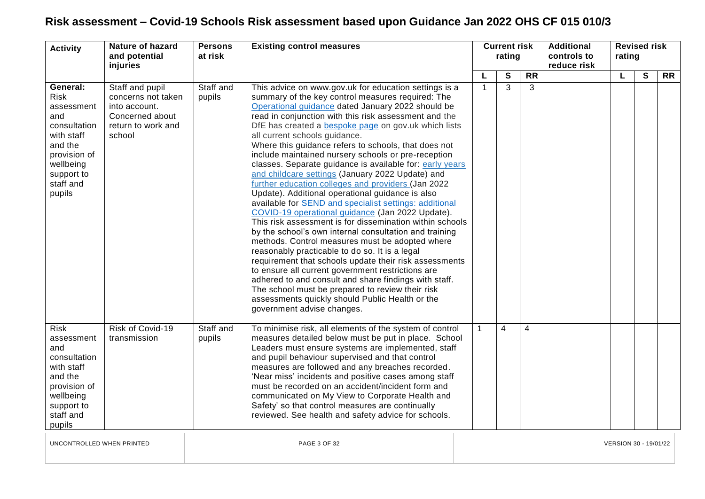| <b>Activity</b>                                                                                                                                         | <b>Nature of hazard</b><br>and potential<br>injuries                                                      | <b>Persons</b><br>at risk | <b>Existing control measures</b>                                                                                                                                                                                                                                                                                                                                                                                                                                                                                                                                                                                                                                                                                                                                                                                                                                                                                                                                                                                                                                                                                                                                                                                                                                                                                        |    | <b>Current risk</b><br>rating |                |           | <b>Additional</b><br>controls to<br>reduce risk | <b>Revised risk</b><br>rating |   |           |  |
|---------------------------------------------------------------------------------------------------------------------------------------------------------|-----------------------------------------------------------------------------------------------------------|---------------------------|-------------------------------------------------------------------------------------------------------------------------------------------------------------------------------------------------------------------------------------------------------------------------------------------------------------------------------------------------------------------------------------------------------------------------------------------------------------------------------------------------------------------------------------------------------------------------------------------------------------------------------------------------------------------------------------------------------------------------------------------------------------------------------------------------------------------------------------------------------------------------------------------------------------------------------------------------------------------------------------------------------------------------------------------------------------------------------------------------------------------------------------------------------------------------------------------------------------------------------------------------------------------------------------------------------------------------|----|-------------------------------|----------------|-----------|-------------------------------------------------|-------------------------------|---|-----------|--|
|                                                                                                                                                         |                                                                                                           |                           |                                                                                                                                                                                                                                                                                                                                                                                                                                                                                                                                                                                                                                                                                                                                                                                                                                                                                                                                                                                                                                                                                                                                                                                                                                                                                                                         | L  |                               | S              | <b>RR</b> |                                                 | L                             | S | <b>RR</b> |  |
| General:<br><b>Risk</b><br>assessment<br>and<br>consultation<br>with staff<br>and the<br>provision of<br>wellbeing<br>support to<br>staff and<br>pupils | Staff and pupil<br>concerns not taken<br>into account.<br>Concerned about<br>return to work and<br>school | Staff and<br>pupils       | This advice on www.gov.uk for education settings is a<br>summary of the key control measures required: The<br>Operational guidance dated January 2022 should be<br>read in conjunction with this risk assessment and the<br>DfE has created a bespoke page on gov.uk which lists<br>all current schools guidance.<br>Where this guidance refers to schools, that does not<br>include maintained nursery schools or pre-reception<br>classes. Separate guidance is available for: early years<br>and childcare settings (January 2022 Update) and<br>further education colleges and providers (Jan 2022<br>Update). Additional operational guidance is also<br>available for <b>SEND</b> and specialist settings: additional<br>COVID-19 operational guidance (Jan 2022 Update).<br>This risk assessment is for dissemination within schools<br>by the school's own internal consultation and training<br>methods. Control measures must be adopted where<br>reasonably practicable to do so. It is a legal<br>requirement that schools update their risk assessments<br>to ensure all current government restrictions are<br>adhered to and consult and share findings with staff.<br>The school must be prepared to review their risk<br>assessments quickly should Public Health or the<br>government advise changes. | -1 |                               | 3              | 3         |                                                 |                               |   |           |  |
| <b>Risk</b><br>assessment<br>and<br>consultation<br>with staff<br>and the<br>provision of<br>wellbeing<br>support to<br>staff and<br>pupils             | Risk of Covid-19<br>transmission                                                                          | Staff and<br>pupils       | To minimise risk, all elements of the system of control<br>measures detailed below must be put in place. School<br>Leaders must ensure systems are implemented, staff<br>and pupil behaviour supervised and that control<br>measures are followed and any breaches recorded.<br>'Near miss' incidents and positive cases among staff<br>must be recorded on an accident/incident form and<br>communicated on My View to Corporate Health and<br>Safety' so that control measures are continually<br>reviewed. See health and safety advice for schools.                                                                                                                                                                                                                                                                                                                                                                                                                                                                                                                                                                                                                                                                                                                                                                 |    |                               | $\overline{4}$ | 4         |                                                 |                               |   |           |  |
| UNCONTROLLED WHEN PRINTED                                                                                                                               |                                                                                                           |                           | <b>PAGE 3 OF 32</b>                                                                                                                                                                                                                                                                                                                                                                                                                                                                                                                                                                                                                                                                                                                                                                                                                                                                                                                                                                                                                                                                                                                                                                                                                                                                                                     |    |                               |                |           |                                                 | VERSION 30 - 19/01/22         |   |           |  |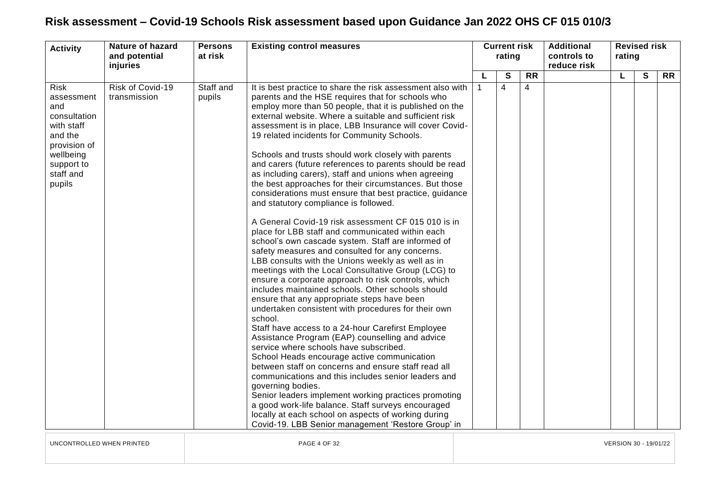| <b>Activity</b>                                                                                                                             | <b>Nature of hazard</b><br>and potential<br>injuries | <b>Persons</b><br>at risk | <b>Existing control measures</b>                                                                                                                                                                                                                                                                                                                                                                                                                                                                                                                                                                                                                                                                                                                                                                                                                                                                                                                                                                                                                                                                                                                                                                                                                                                                                                                                                                                                                                                                                                                                                                                                                                                                                                                                                                                   |             | <b>Current risk</b><br>rating |                 |  |   |              |           | <b>Additional</b><br>controls to<br>reduce risk | <b>Revised risk</b><br>rating |  |  |
|---------------------------------------------------------------------------------------------------------------------------------------------|------------------------------------------------------|---------------------------|--------------------------------------------------------------------------------------------------------------------------------------------------------------------------------------------------------------------------------------------------------------------------------------------------------------------------------------------------------------------------------------------------------------------------------------------------------------------------------------------------------------------------------------------------------------------------------------------------------------------------------------------------------------------------------------------------------------------------------------------------------------------------------------------------------------------------------------------------------------------------------------------------------------------------------------------------------------------------------------------------------------------------------------------------------------------------------------------------------------------------------------------------------------------------------------------------------------------------------------------------------------------------------------------------------------------------------------------------------------------------------------------------------------------------------------------------------------------------------------------------------------------------------------------------------------------------------------------------------------------------------------------------------------------------------------------------------------------------------------------------------------------------------------------------------------------|-------------|-------------------------------|-----------------|--|---|--------------|-----------|-------------------------------------------------|-------------------------------|--|--|
|                                                                                                                                             |                                                      |                           |                                                                                                                                                                                                                                                                                                                                                                                                                                                                                                                                                                                                                                                                                                                                                                                                                                                                                                                                                                                                                                                                                                                                                                                                                                                                                                                                                                                                                                                                                                                                                                                                                                                                                                                                                                                                                    |             | S                             | $\overline{RR}$ |  | L | $\mathbf{s}$ | <b>RR</b> |                                                 |                               |  |  |
| <b>Risk</b><br>assessment<br>and<br>consultation<br>with staff<br>and the<br>provision of<br>wellbeing<br>support to<br>staff and<br>pupils | Risk of Covid-19<br>transmission                     | Staff and<br>pupils       | It is best practice to share the risk assessment also with<br>parents and the HSE requires that for schools who<br>employ more than 50 people, that it is published on the<br>external website. Where a suitable and sufficient risk<br>assessment is in place, LBB Insurance will cover Covid-<br>19 related incidents for Community Schools.<br>Schools and trusts should work closely with parents<br>and carers (future references to parents should be read<br>as including carers), staff and unions when agreeing<br>the best approaches for their circumstances. But those<br>considerations must ensure that best practice, guidance<br>and statutory compliance is followed.<br>A General Covid-19 risk assessment CF 015 010 is in<br>place for LBB staff and communicated within each<br>school's own cascade system. Staff are informed of<br>safety measures and consulted for any concerns.<br>LBB consults with the Unions weekly as well as in<br>meetings with the Local Consultative Group (LCG) to<br>ensure a corporate approach to risk controls, which<br>includes maintained schools. Other schools should<br>ensure that any appropriate steps have been<br>undertaken consistent with procedures for their own<br>school.<br>Staff have access to a 24-hour Carefirst Employee<br>Assistance Program (EAP) counselling and advice<br>service where schools have subscribed.<br>School Heads encourage active communication<br>between staff on concerns and ensure staff read all<br>communications and this includes senior leaders and<br>governing bodies.<br>Senior leaders implement working practices promoting<br>a good work-life balance. Staff surveys encouraged<br>locally at each school on aspects of working during<br>Covid-19. LBB Senior management 'Restore Group' in | $\mathbf 1$ | $\overline{4}$                | 4               |  |   |              |           |                                                 |                               |  |  |

UNCONTROLLED WHEN PRINTED PAGE 4 OF 32 VERSION 30 - 19/01/22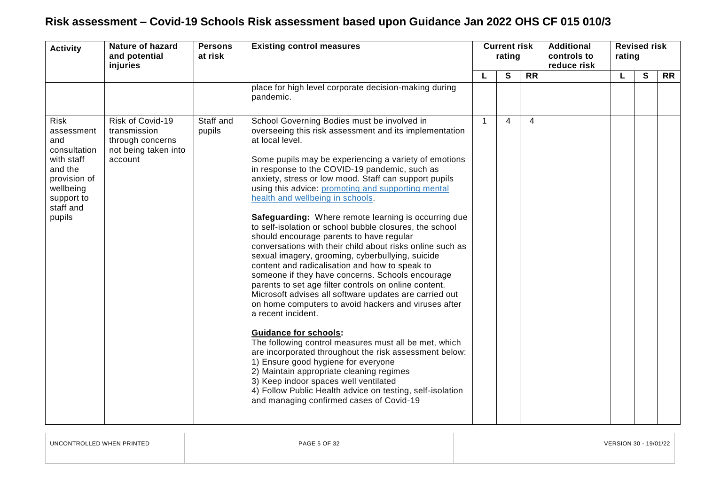| <b>Activity</b>                                                                                                                             | <b>Nature of hazard</b><br>and potential<br>injuries                                    | <b>Persons</b><br>at risk | <b>Existing control measures</b>                                                                                                                                                                                                                                                                                                                                                                                                                                                                                                                                                                                                                                                                                                                                                                                                                                                                                                                                                                                                                                                                                                                                                                                                                                                                                                                                     | <b>Current risk</b><br>rating |   |                 | <b>Additional</b><br>controls to<br>reduce risk | <b>Revised risk</b><br>rating |   |           |  |
|---------------------------------------------------------------------------------------------------------------------------------------------|-----------------------------------------------------------------------------------------|---------------------------|----------------------------------------------------------------------------------------------------------------------------------------------------------------------------------------------------------------------------------------------------------------------------------------------------------------------------------------------------------------------------------------------------------------------------------------------------------------------------------------------------------------------------------------------------------------------------------------------------------------------------------------------------------------------------------------------------------------------------------------------------------------------------------------------------------------------------------------------------------------------------------------------------------------------------------------------------------------------------------------------------------------------------------------------------------------------------------------------------------------------------------------------------------------------------------------------------------------------------------------------------------------------------------------------------------------------------------------------------------------------|-------------------------------|---|-----------------|-------------------------------------------------|-------------------------------|---|-----------|--|
|                                                                                                                                             |                                                                                         |                           |                                                                                                                                                                                                                                                                                                                                                                                                                                                                                                                                                                                                                                                                                                                                                                                                                                                                                                                                                                                                                                                                                                                                                                                                                                                                                                                                                                      |                               | S | $\overline{RR}$ |                                                 | L                             | S | <b>RR</b> |  |
|                                                                                                                                             |                                                                                         |                           | place for high level corporate decision-making during<br>pandemic.                                                                                                                                                                                                                                                                                                                                                                                                                                                                                                                                                                                                                                                                                                                                                                                                                                                                                                                                                                                                                                                                                                                                                                                                                                                                                                   |                               |   |                 |                                                 |                               |   |           |  |
| <b>Risk</b><br>assessment<br>and<br>consultation<br>with staff<br>and the<br>provision of<br>wellbeing<br>support to<br>staff and<br>pupils | Risk of Covid-19<br>transmission<br>through concerns<br>not being taken into<br>account | Staff and<br>pupils       | School Governing Bodies must be involved in<br>overseeing this risk assessment and its implementation<br>at local level.<br>Some pupils may be experiencing a variety of emotions<br>in response to the COVID-19 pandemic, such as<br>anxiety, stress or low mood. Staff can support pupils<br>using this advice: promoting and supporting mental<br>health and wellbeing in schools.<br>Safeguarding: Where remote learning is occurring due<br>to self-isolation or school bubble closures, the school<br>should encourage parents to have regular<br>conversations with their child about risks online such as<br>sexual imagery, grooming, cyberbullying, suicide<br>content and radicalisation and how to speak to<br>someone if they have concerns. Schools encourage<br>parents to set age filter controls on online content.<br>Microsoft advises all software updates are carried out<br>on home computers to avoid hackers and viruses after<br>a recent incident.<br><b>Guidance for schools:</b><br>The following control measures must all be met, which<br>are incorporated throughout the risk assessment below:<br>1) Ensure good hygiene for everyone<br>2) Maintain appropriate cleaning regimes<br>3) Keep indoor spaces well ventilated<br>4) Follow Public Health advice on testing, self-isolation<br>and managing confirmed cases of Covid-19 | 1                             | 4 | $\overline{4}$  |                                                 |                               |   |           |  |

| UNCONTROLLED WHEN PRINTED |
|---------------------------|
|---------------------------|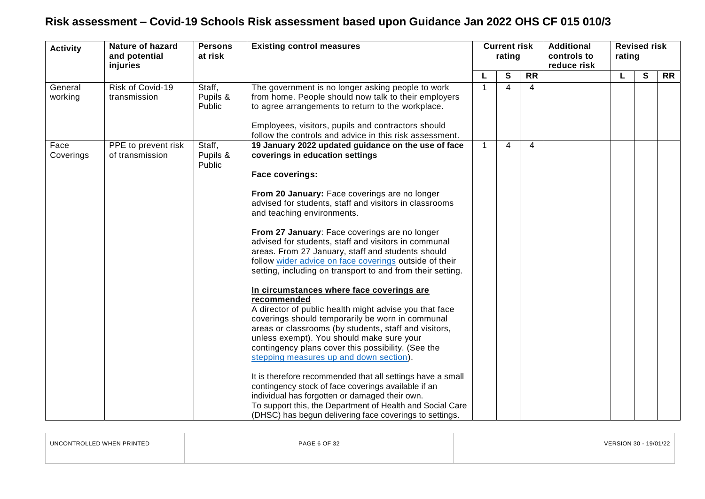| <b>Activity</b>    | <b>Nature of hazard</b><br>and potential<br>injuries | <b>Persons</b><br>at risk    | <b>Existing control measures</b>                                                                                                                                                                                                                                                                                                                                                                                                                                                                                                                                                                                                                                                                                                                                                                                                                                                                                                                                                                                                                                                                                                                                                                                                                                                    |   | <b>Current risk</b><br>rating |                 | <b>Additional</b><br>controls to<br>reduce risk | rating | <b>Revised risk</b> |           |
|--------------------|------------------------------------------------------|------------------------------|-------------------------------------------------------------------------------------------------------------------------------------------------------------------------------------------------------------------------------------------------------------------------------------------------------------------------------------------------------------------------------------------------------------------------------------------------------------------------------------------------------------------------------------------------------------------------------------------------------------------------------------------------------------------------------------------------------------------------------------------------------------------------------------------------------------------------------------------------------------------------------------------------------------------------------------------------------------------------------------------------------------------------------------------------------------------------------------------------------------------------------------------------------------------------------------------------------------------------------------------------------------------------------------|---|-------------------------------|-----------------|-------------------------------------------------|--------|---------------------|-----------|
|                    |                                                      |                              |                                                                                                                                                                                                                                                                                                                                                                                                                                                                                                                                                                                                                                                                                                                                                                                                                                                                                                                                                                                                                                                                                                                                                                                                                                                                                     |   | $\mathbf s$                   | $\overline{RR}$ |                                                 | L      | S                   | <b>RR</b> |
| General<br>working | Risk of Covid-19<br>transmission                     | Staff,<br>Pupils &<br>Public | The government is no longer asking people to work<br>from home. People should now talk to their employers<br>to agree arrangements to return to the workplace.<br>Employees, visitors, pupils and contractors should                                                                                                                                                                                                                                                                                                                                                                                                                                                                                                                                                                                                                                                                                                                                                                                                                                                                                                                                                                                                                                                                | 1 | 4                             | 4               |                                                 |        |                     |           |
| Face<br>Coverings  | PPE to prevent risk<br>of transmission               | Staff,<br>Pupils &<br>Public | follow the controls and advice in this risk assessment.<br>19 January 2022 updated guidance on the use of face<br>coverings in education settings<br>Face coverings:<br>From 20 January: Face coverings are no longer<br>advised for students, staff and visitors in classrooms<br>and teaching environments.<br>From 27 January: Face coverings are no longer<br>advised for students, staff and visitors in communal<br>areas. From 27 January, staff and students should<br>follow wider advice on face coverings outside of their<br>setting, including on transport to and from their setting.<br>In circumstances where face coverings are<br>recommended<br>A director of public health might advise you that face<br>coverings should temporarily be worn in communal<br>areas or classrooms (by students, staff and visitors,<br>unless exempt). You should make sure your<br>contingency plans cover this possibility. (See the<br>stepping measures up and down section).<br>It is therefore recommended that all settings have a small<br>contingency stock of face coverings available if an<br>individual has forgotten or damaged their own.<br>To support this, the Department of Health and Social Care<br>(DHSC) has begun delivering face coverings to settings. | 1 | 4                             | 4               |                                                 |        |                     |           |

| UNCONTROLLED WHEN PRINTED | PAGE 6 OF 32 | <b>VEDCION</b><br>9/01/22 |
|---------------------------|--------------|---------------------------|
|                           |              |                           |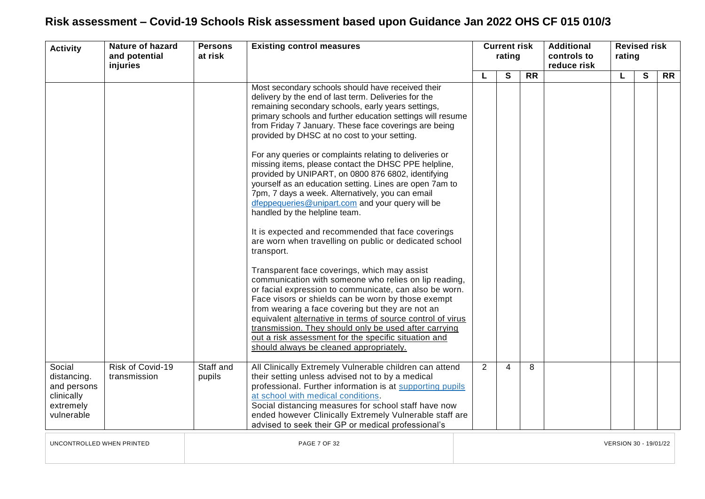| <b>Activity</b>                                                               | <b>Nature of hazard</b><br>and potential<br>injuries | <b>Persons</b><br>at risk | <b>Existing control measures</b>                                                                                                                                                                                                                                                                                                                                                                                                                                                                                                                                                                                                                                                                                                                                                                                                                                                                                                                                                                                                                                                                                                                                                                                                                                                                                                                         | <b>Current risk</b><br>rating |                |                 | <b>Additional</b><br>controls to<br>reduce risk | <b>Revised risk</b><br>rating |              |           |
|-------------------------------------------------------------------------------|------------------------------------------------------|---------------------------|----------------------------------------------------------------------------------------------------------------------------------------------------------------------------------------------------------------------------------------------------------------------------------------------------------------------------------------------------------------------------------------------------------------------------------------------------------------------------------------------------------------------------------------------------------------------------------------------------------------------------------------------------------------------------------------------------------------------------------------------------------------------------------------------------------------------------------------------------------------------------------------------------------------------------------------------------------------------------------------------------------------------------------------------------------------------------------------------------------------------------------------------------------------------------------------------------------------------------------------------------------------------------------------------------------------------------------------------------------|-------------------------------|----------------|-----------------|-------------------------------------------------|-------------------------------|--------------|-----------|
|                                                                               |                                                      |                           |                                                                                                                                                                                                                                                                                                                                                                                                                                                                                                                                                                                                                                                                                                                                                                                                                                                                                                                                                                                                                                                                                                                                                                                                                                                                                                                                                          |                               | $\mathbf{s}$   | $\overline{RR}$ |                                                 | L                             | $\mathbf{s}$ | <b>RR</b> |
|                                                                               |                                                      |                           | Most secondary schools should have received their<br>delivery by the end of last term. Deliveries for the<br>remaining secondary schools, early years settings,<br>primary schools and further education settings will resume<br>from Friday 7 January. These face coverings are being<br>provided by DHSC at no cost to your setting.<br>For any queries or complaints relating to deliveries or<br>missing items, please contact the DHSC PPE helpline,<br>provided by UNIPART, on 0800 876 6802, identifying<br>yourself as an education setting. Lines are open 7am to<br>7pm, 7 days a week. Alternatively, you can email<br>dfeppequeries@unipart.com and your query will be<br>handled by the helpline team.<br>It is expected and recommended that face coverings<br>are worn when travelling on public or dedicated school<br>transport.<br>Transparent face coverings, which may assist<br>communication with someone who relies on lip reading,<br>or facial expression to communicate, can also be worn.<br>Face visors or shields can be worn by those exempt<br>from wearing a face covering but they are not an<br>equivalent alternative in terms of source control of virus<br>transmission. They should only be used after carrying<br>out a risk assessment for the specific situation and<br>should always be cleaned appropriately. |                               |                |                 |                                                 |                               |              |           |
| Social<br>distancing.<br>and persons<br>clinically<br>extremely<br>vulnerable | Risk of Covid-19<br>transmission                     | Staff and<br>pupils       | All Clinically Extremely Vulnerable children can attend<br>their setting unless advised not to by a medical<br>professional. Further information is at supporting pupils<br>at school with medical conditions.<br>Social distancing measures for school staff have now<br>ended however Clinically Extremely Vulnerable staff are<br>advised to seek their GP or medical professional's                                                                                                                                                                                                                                                                                                                                                                                                                                                                                                                                                                                                                                                                                                                                                                                                                                                                                                                                                                  | 2                             | $\overline{4}$ | 8               |                                                 |                               |              |           |
| UNCONTROLLED WHEN PRINTED                                                     |                                                      |                           | PAGE 7 OF 32                                                                                                                                                                                                                                                                                                                                                                                                                                                                                                                                                                                                                                                                                                                                                                                                                                                                                                                                                                                                                                                                                                                                                                                                                                                                                                                                             |                               |                |                 |                                                 | VERSION 30 - 19/01/22         |              |           |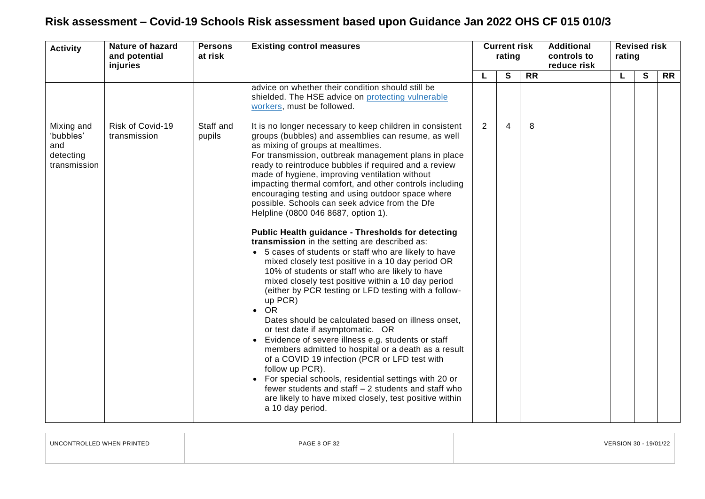| <b>Activity</b>                                             | <b>Nature of hazard</b><br><b>Persons</b><br><b>Existing control measures</b><br>at risk<br>and potential<br>injuries |                     | <b>Current risk</b><br>rating                                                                                                                                                                                                                                                                                                                                                                                                                                                                                                                                                                                                                                                                                                                                                                                                                                                                                                                                                                                                                                                                                                                                                                                                                                                                                                                                                                                                              |   |                | <b>Additional</b><br>controls to<br>reduce risk | <b>Revised risk</b><br>rating |  |   |                 |
|-------------------------------------------------------------|-----------------------------------------------------------------------------------------------------------------------|---------------------|--------------------------------------------------------------------------------------------------------------------------------------------------------------------------------------------------------------------------------------------------------------------------------------------------------------------------------------------------------------------------------------------------------------------------------------------------------------------------------------------------------------------------------------------------------------------------------------------------------------------------------------------------------------------------------------------------------------------------------------------------------------------------------------------------------------------------------------------------------------------------------------------------------------------------------------------------------------------------------------------------------------------------------------------------------------------------------------------------------------------------------------------------------------------------------------------------------------------------------------------------------------------------------------------------------------------------------------------------------------------------------------------------------------------------------------------|---|----------------|-------------------------------------------------|-------------------------------|--|---|-----------------|
|                                                             |                                                                                                                       |                     |                                                                                                                                                                                                                                                                                                                                                                                                                                                                                                                                                                                                                                                                                                                                                                                                                                                                                                                                                                                                                                                                                                                                                                                                                                                                                                                                                                                                                                            | L | $\mathbf{s}$   | $\overline{RR}$                                 |                               |  | S | $\overline{RR}$ |
|                                                             |                                                                                                                       |                     | advice on whether their condition should still be<br>shielded. The HSE advice on protecting vulnerable<br>workers, must be followed.                                                                                                                                                                                                                                                                                                                                                                                                                                                                                                                                                                                                                                                                                                                                                                                                                                                                                                                                                                                                                                                                                                                                                                                                                                                                                                       |   |                |                                                 |                               |  |   |                 |
| Mixing and<br>'bubbles'<br>and<br>detecting<br>transmission | Risk of Covid-19<br>transmission                                                                                      | Staff and<br>pupils | It is no longer necessary to keep children in consistent<br>groups (bubbles) and assemblies can resume, as well<br>as mixing of groups at mealtimes.<br>For transmission, outbreak management plans in place<br>ready to reintroduce bubbles if required and a review<br>made of hygiene, improving ventilation without<br>impacting thermal comfort, and other controls including<br>encouraging testing and using outdoor space where<br>possible. Schools can seek advice from the Dfe<br>Helpline (0800 046 8687, option 1).<br><b>Public Health guidance - Thresholds for detecting</b><br>transmission in the setting are described as:<br>• 5 cases of students or staff who are likely to have<br>mixed closely test positive in a 10 day period OR<br>10% of students or staff who are likely to have<br>mixed closely test positive within a 10 day period<br>(either by PCR testing or LFD testing with a follow-<br>up PCR)<br><b>OR</b><br>$\bullet$<br>Dates should be calculated based on illness onset,<br>or test date if asymptomatic. OR<br>Evidence of severe illness e.g. students or staff<br>members admitted to hospital or a death as a result<br>of a COVID 19 infection (PCR or LFD test with<br>follow up PCR).<br>• For special schools, residential settings with 20 or<br>fewer students and staff - 2 students and staff who<br>are likely to have mixed closely, test positive within<br>a 10 day period. | 2 | $\overline{4}$ | 8                                               |                               |  |   |                 |

| UNCONTROLLED WHEN PRINTED | PAGE 8 OF 32 | VERSION 30 - 19/01/22 |
|---------------------------|--------------|-----------------------|
|                           |              |                       |

 $\Box$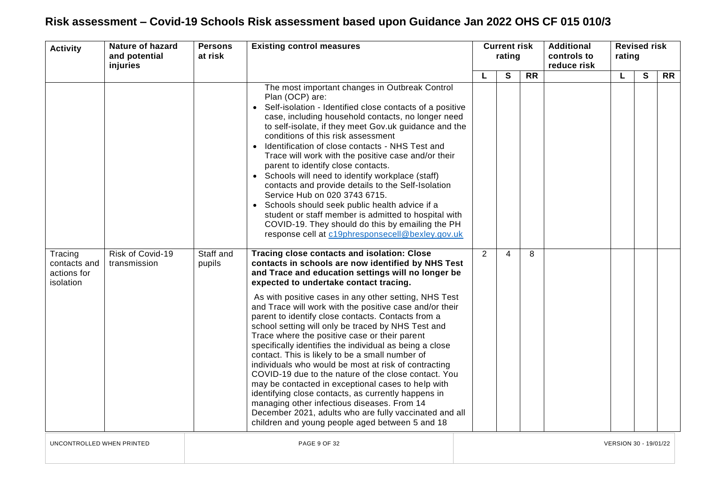| <b>Activity</b>                                     | <b>Nature of hazard</b><br>and potential<br>injuries | <b>Persons</b><br>at risk | <b>Existing control measures</b>                                                                                                                                                                                                                                                                                                                                                                                                                                                                                                                                                                                                                                                                                                                                                                                          |   | <b>Current risk</b><br>rating |                 | <b>Additional</b><br>controls to<br>reduce risk | rating                | <b>Revised risk</b> |           |
|-----------------------------------------------------|------------------------------------------------------|---------------------------|---------------------------------------------------------------------------------------------------------------------------------------------------------------------------------------------------------------------------------------------------------------------------------------------------------------------------------------------------------------------------------------------------------------------------------------------------------------------------------------------------------------------------------------------------------------------------------------------------------------------------------------------------------------------------------------------------------------------------------------------------------------------------------------------------------------------------|---|-------------------------------|-----------------|-------------------------------------------------|-----------------------|---------------------|-----------|
|                                                     |                                                      |                           |                                                                                                                                                                                                                                                                                                                                                                                                                                                                                                                                                                                                                                                                                                                                                                                                                           | L | S                             | $\overline{RR}$ |                                                 | L                     | S                   | <b>RR</b> |
|                                                     |                                                      |                           | The most important changes in Outbreak Control<br>Plan (OCP) are:<br>• Self-isolation - Identified close contacts of a positive<br>case, including household contacts, no longer need<br>to self-isolate, if they meet Gov.uk guidance and the<br>conditions of this risk assessment<br>Identification of close contacts - NHS Test and<br>$\bullet$<br>Trace will work with the positive case and/or their<br>parent to identify close contacts.<br>Schools will need to identify workplace (staff)<br>$\bullet$<br>contacts and provide details to the Self-Isolation<br>Service Hub on 020 3743 6715.<br>Schools should seek public health advice if a<br>student or staff member is admitted to hospital with<br>COVID-19. They should do this by emailing the PH<br>response cell at c19phresponsecell@bexley.gov.uk |   |                               |                 |                                                 |                       |                     |           |
| Tracing<br>contacts and<br>actions for<br>isolation | Risk of Covid-19<br>transmission                     | Staff and<br>pupils       | <b>Tracing close contacts and isolation: Close</b><br>contacts in schools are now identified by NHS Test<br>and Trace and education settings will no longer be<br>expected to undertake contact tracing.                                                                                                                                                                                                                                                                                                                                                                                                                                                                                                                                                                                                                  | 2 | 4                             | 8               |                                                 |                       |                     |           |
|                                                     |                                                      |                           | As with positive cases in any other setting, NHS Test<br>and Trace will work with the positive case and/or their<br>parent to identify close contacts. Contacts from a<br>school setting will only be traced by NHS Test and<br>Trace where the positive case or their parent<br>specifically identifies the individual as being a close<br>contact. This is likely to be a small number of<br>individuals who would be most at risk of contracting<br>COVID-19 due to the nature of the close contact. You<br>may be contacted in exceptional cases to help with<br>identifying close contacts, as currently happens in<br>managing other infectious diseases. From 14<br>December 2021, adults who are fully vaccinated and all<br>children and young people aged between 5 and 18                                      |   |                               |                 |                                                 |                       |                     |           |
| UNCONTROLLED WHEN PRINTED                           |                                                      |                           | <b>PAGE 9 OF 32</b>                                                                                                                                                                                                                                                                                                                                                                                                                                                                                                                                                                                                                                                                                                                                                                                                       |   |                               |                 |                                                 | VERSION 30 - 19/01/22 |                     |           |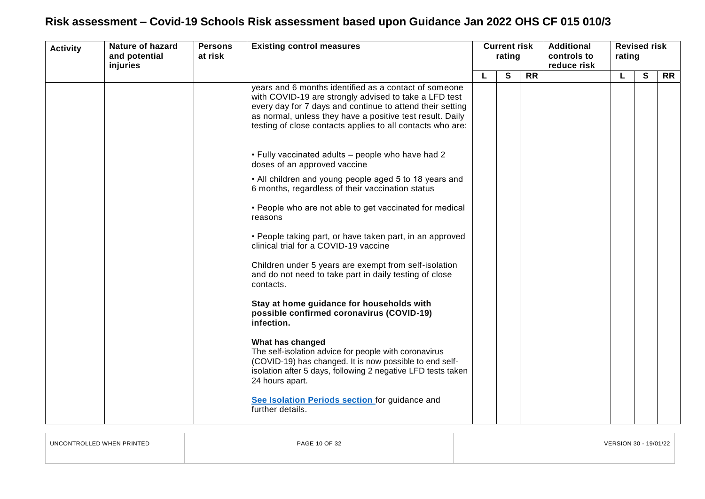| <b>Activity</b> | <b>Nature of hazard</b><br>and potential<br>injuries | <b>Persons</b><br>at risk | <b>Existing control measures</b>                                                                                                                                                                                                                                                                       |  | <b>Current risk</b><br>rating |           |  |   |   |           |  |  | <b>Additional</b><br>controls to<br>reduce risk | <b>Revised risk</b><br>rating |  |  |  |  |
|-----------------|------------------------------------------------------|---------------------------|--------------------------------------------------------------------------------------------------------------------------------------------------------------------------------------------------------------------------------------------------------------------------------------------------------|--|-------------------------------|-----------|--|---|---|-----------|--|--|-------------------------------------------------|-------------------------------|--|--|--|--|
|                 |                                                      |                           |                                                                                                                                                                                                                                                                                                        |  | S                             | <b>RR</b> |  | L | S | <b>RR</b> |  |  |                                                 |                               |  |  |  |  |
|                 |                                                      |                           | years and 6 months identified as a contact of someone<br>with COVID-19 are strongly advised to take a LFD test<br>every day for 7 days and continue to attend their setting<br>as normal, unless they have a positive test result. Daily<br>testing of close contacts applies to all contacts who are: |  |                               |           |  |   |   |           |  |  |                                                 |                               |  |  |  |  |
|                 |                                                      |                           | . Fully vaccinated adults - people who have had 2<br>doses of an approved vaccine                                                                                                                                                                                                                      |  |                               |           |  |   |   |           |  |  |                                                 |                               |  |  |  |  |
|                 |                                                      |                           | • All children and young people aged 5 to 18 years and<br>6 months, regardless of their vaccination status                                                                                                                                                                                             |  |                               |           |  |   |   |           |  |  |                                                 |                               |  |  |  |  |
|                 |                                                      |                           | • People who are not able to get vaccinated for medical<br>reasons                                                                                                                                                                                                                                     |  |                               |           |  |   |   |           |  |  |                                                 |                               |  |  |  |  |
|                 |                                                      |                           | • People taking part, or have taken part, in an approved<br>clinical trial for a COVID-19 vaccine                                                                                                                                                                                                      |  |                               |           |  |   |   |           |  |  |                                                 |                               |  |  |  |  |
|                 |                                                      |                           | Children under 5 years are exempt from self-isolation<br>and do not need to take part in daily testing of close<br>contacts.                                                                                                                                                                           |  |                               |           |  |   |   |           |  |  |                                                 |                               |  |  |  |  |
|                 |                                                      |                           | Stay at home guidance for households with<br>possible confirmed coronavirus (COVID-19)<br>infection.                                                                                                                                                                                                   |  |                               |           |  |   |   |           |  |  |                                                 |                               |  |  |  |  |
|                 |                                                      |                           | What has changed<br>The self-isolation advice for people with coronavirus<br>(COVID-19) has changed. It is now possible to end self-<br>isolation after 5 days, following 2 negative LFD tests taken<br>24 hours apart.                                                                                |  |                               |           |  |   |   |           |  |  |                                                 |                               |  |  |  |  |
|                 |                                                      |                           | See Isolation Periods section for guidance and<br>further details.                                                                                                                                                                                                                                     |  |                               |           |  |   |   |           |  |  |                                                 |                               |  |  |  |  |

| UNCONTROLLED WHEN PRINTED | PAGE 10 OF 32 | VERSION 30 - 19/01/22 |
|---------------------------|---------------|-----------------------|
|                           |               |                       |

 $\overline{1}$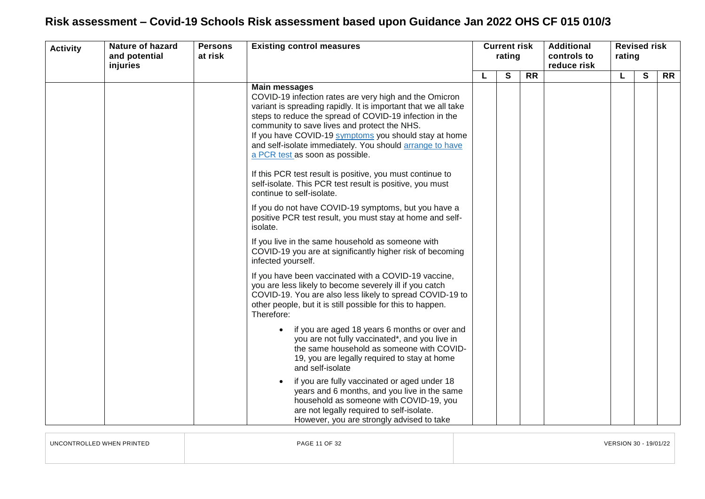| <b>Activity</b> | Nature of hazard<br>and potential<br>injuries | <b>Persons</b><br>at risk | <b>Existing control measures</b>                                                                                                                                                                                                                                                                                                                                                                                                                                                                                                                                                                                                  | <b>Current risk</b><br>rating |   |           |  |   |   |           |  |  |  |  | <b>Additional</b><br>controls to<br>reduce risk | <b>Revised risk</b><br>rating |  |  |
|-----------------|-----------------------------------------------|---------------------------|-----------------------------------------------------------------------------------------------------------------------------------------------------------------------------------------------------------------------------------------------------------------------------------------------------------------------------------------------------------------------------------------------------------------------------------------------------------------------------------------------------------------------------------------------------------------------------------------------------------------------------------|-------------------------------|---|-----------|--|---|---|-----------|--|--|--|--|-------------------------------------------------|-------------------------------|--|--|
|                 |                                               |                           |                                                                                                                                                                                                                                                                                                                                                                                                                                                                                                                                                                                                                                   |                               | S | <b>RR</b> |  | L | S | <b>RR</b> |  |  |  |  |                                                 |                               |  |  |
|                 |                                               |                           | <b>Main messages</b><br>COVID-19 infection rates are very high and the Omicron<br>variant is spreading rapidly. It is important that we all take<br>steps to reduce the spread of COVID-19 infection in the<br>community to save lives and protect the NHS.<br>If you have COVID-19 symptoms you should stay at home<br>and self-isolate immediately. You should arrange to have<br>a PCR test as soon as possible.<br>If this PCR test result is positive, you must continue to<br>self-isolate. This PCR test result is positive, you must<br>continue to self-isolate.<br>If you do not have COVID-19 symptoms, but you have a |                               |   |           |  |   |   |           |  |  |  |  |                                                 |                               |  |  |
|                 |                                               |                           | positive PCR test result, you must stay at home and self-<br>isolate.<br>If you live in the same household as someone with                                                                                                                                                                                                                                                                                                                                                                                                                                                                                                        |                               |   |           |  |   |   |           |  |  |  |  |                                                 |                               |  |  |
|                 |                                               |                           | COVID-19 you are at significantly higher risk of becoming<br>infected yourself.                                                                                                                                                                                                                                                                                                                                                                                                                                                                                                                                                   |                               |   |           |  |   |   |           |  |  |  |  |                                                 |                               |  |  |
|                 |                                               |                           | If you have been vaccinated with a COVID-19 vaccine,<br>you are less likely to become severely ill if you catch<br>COVID-19. You are also less likely to spread COVID-19 to<br>other people, but it is still possible for this to happen.<br>Therefore:                                                                                                                                                                                                                                                                                                                                                                           |                               |   |           |  |   |   |           |  |  |  |  |                                                 |                               |  |  |
|                 |                                               |                           | if you are aged 18 years 6 months or over and<br>you are not fully vaccinated*, and you live in<br>the same household as someone with COVID-<br>19, you are legally required to stay at home<br>and self-isolate                                                                                                                                                                                                                                                                                                                                                                                                                  |                               |   |           |  |   |   |           |  |  |  |  |                                                 |                               |  |  |
|                 |                                               |                           | if you are fully vaccinated or aged under 18<br>years and 6 months, and you live in the same<br>household as someone with COVID-19, you<br>are not legally required to self-isolate.<br>However, you are strongly advised to take                                                                                                                                                                                                                                                                                                                                                                                                 |                               |   |           |  |   |   |           |  |  |  |  |                                                 |                               |  |  |
|                 |                                               |                           |                                                                                                                                                                                                                                                                                                                                                                                                                                                                                                                                                                                                                                   |                               |   |           |  |   |   |           |  |  |  |  |                                                 |                               |  |  |

| <b>UNCONTROLLED WHEN PRINTED</b> | PAGE 11 OF 32                                                                                                   | $-19/01/22$ |
|----------------------------------|-----------------------------------------------------------------------------------------------------------------|-------------|
|                                  | the contract of the contract of the contract of the contract of the contract of the contract of the contract of |             |
|                                  |                                                                                                                 |             |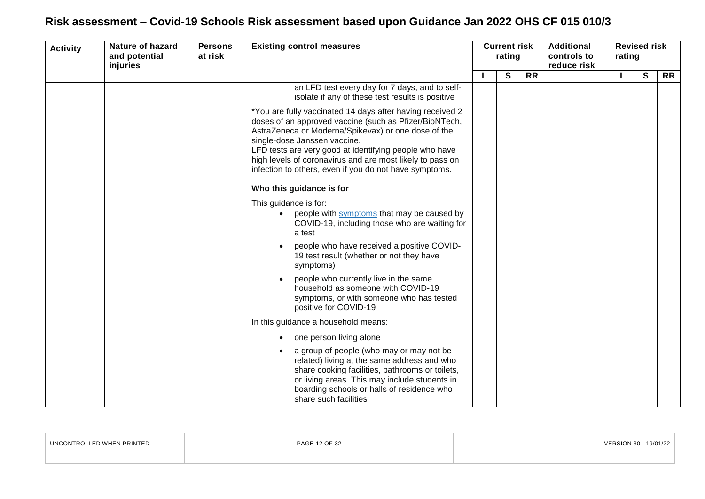| <b>Activity</b> | <b>Nature of hazard</b><br>and potential<br>injuries | <b>Persons</b><br>at risk | <b>Existing control measures</b>                                                                                                                                                                                                                                                                                                                                                            | <b>Current risk</b><br>rating |   | <b>Additional</b><br>controls to<br>reduce risk |  | <b>Revised risk</b><br>rating |              |           |  |
|-----------------|------------------------------------------------------|---------------------------|---------------------------------------------------------------------------------------------------------------------------------------------------------------------------------------------------------------------------------------------------------------------------------------------------------------------------------------------------------------------------------------------|-------------------------------|---|-------------------------------------------------|--|-------------------------------|--------------|-----------|--|
|                 |                                                      |                           |                                                                                                                                                                                                                                                                                                                                                                                             |                               | S | <b>RR</b>                                       |  | L                             | $\mathbf{s}$ | <b>RR</b> |  |
|                 |                                                      |                           | an LFD test every day for 7 days, and to self-<br>isolate if any of these test results is positive                                                                                                                                                                                                                                                                                          |                               |   |                                                 |  |                               |              |           |  |
|                 |                                                      |                           | *You are fully vaccinated 14 days after having received 2<br>doses of an approved vaccine (such as Pfizer/BioNTech,<br>AstraZeneca or Moderna/Spikevax) or one dose of the<br>single-dose Janssen vaccine.<br>LFD tests are very good at identifying people who have<br>high levels of coronavirus and are most likely to pass on<br>infection to others, even if you do not have symptoms. |                               |   |                                                 |  |                               |              |           |  |
|                 |                                                      |                           | Who this guidance is for                                                                                                                                                                                                                                                                                                                                                                    |                               |   |                                                 |  |                               |              |           |  |
|                 |                                                      |                           | This guidance is for:<br>people with symptoms that may be caused by<br>$\bullet$<br>COVID-19, including those who are waiting for<br>a test                                                                                                                                                                                                                                                 |                               |   |                                                 |  |                               |              |           |  |
|                 |                                                      |                           | people who have received a positive COVID-<br>19 test result (whether or not they have<br>symptoms)                                                                                                                                                                                                                                                                                         |                               |   |                                                 |  |                               |              |           |  |
|                 |                                                      |                           | people who currently live in the same<br>household as someone with COVID-19<br>symptoms, or with someone who has tested<br>positive for COVID-19                                                                                                                                                                                                                                            |                               |   |                                                 |  |                               |              |           |  |
|                 |                                                      |                           | In this guidance a household means:                                                                                                                                                                                                                                                                                                                                                         |                               |   |                                                 |  |                               |              |           |  |
|                 |                                                      |                           | one person living alone                                                                                                                                                                                                                                                                                                                                                                     |                               |   |                                                 |  |                               |              |           |  |
|                 |                                                      |                           | a group of people (who may or may not be<br>related) living at the same address and who<br>share cooking facilities, bathrooms or toilets,<br>or living areas. This may include students in<br>boarding schools or halls of residence who<br>share such facilities                                                                                                                          |                               |   |                                                 |  |                               |              |           |  |

| .<br>PRINTEL<br>. . | DAL | 19/01/2 |
|---------------------|-----|---------|
|                     |     |         |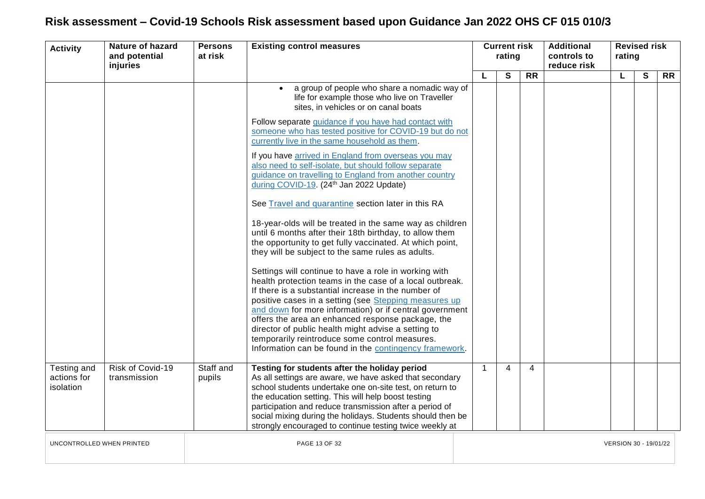| <b>Activity</b>                         | <b>Nature of hazard</b><br>and potential<br>injuries | <b>Persons</b><br>at risk | <b>Existing control measures</b>                                                                                                                                                                                                                                                                                                                                                                                                                                                                                                                                                                                                                                                                                                                                                                                                                                                                                                                                                                                                                                                                                                                                                                                                                                                                                                                      | <b>Current risk</b><br>rating<br>S | <b>Additional</b><br>controls to<br>reduce risk |                 | <b>Revised risk</b><br>rating |                       |              |                 |  |
|-----------------------------------------|------------------------------------------------------|---------------------------|-------------------------------------------------------------------------------------------------------------------------------------------------------------------------------------------------------------------------------------------------------------------------------------------------------------------------------------------------------------------------------------------------------------------------------------------------------------------------------------------------------------------------------------------------------------------------------------------------------------------------------------------------------------------------------------------------------------------------------------------------------------------------------------------------------------------------------------------------------------------------------------------------------------------------------------------------------------------------------------------------------------------------------------------------------------------------------------------------------------------------------------------------------------------------------------------------------------------------------------------------------------------------------------------------------------------------------------------------------|------------------------------------|-------------------------------------------------|-----------------|-------------------------------|-----------------------|--------------|-----------------|--|
|                                         |                                                      |                           |                                                                                                                                                                                                                                                                                                                                                                                                                                                                                                                                                                                                                                                                                                                                                                                                                                                                                                                                                                                                                                                                                                                                                                                                                                                                                                                                                       | L                                  |                                                 | $\overline{RR}$ |                               | L                     | $\mathbf{s}$ | $\overline{RR}$ |  |
|                                         |                                                      |                           | a group of people who share a nomadic way of<br>life for example those who live on Traveller<br>sites, in vehicles or on canal boats<br>Follow separate guidance if you have had contact with<br>someone who has tested positive for COVID-19 but do not<br>currently live in the same household as them.<br>If you have arrived in England from overseas you may<br>also need to self-isolate, but should follow separate<br>guidance on travelling to England from another country<br>during COVID-19. (24th Jan 2022 Update)<br>See Travel and quarantine section later in this RA<br>18-year-olds will be treated in the same way as children<br>until 6 months after their 18th birthday, to allow them<br>the opportunity to get fully vaccinated. At which point,<br>they will be subject to the same rules as adults.<br>Settings will continue to have a role in working with<br>health protection teams in the case of a local outbreak.<br>If there is a substantial increase in the number of<br>positive cases in a setting (see Stepping measures up<br>and down for more information) or if central government<br>offers the area an enhanced response package, the<br>director of public health might advise a setting to<br>temporarily reintroduce some control measures.<br>Information can be found in the contingency framework. |                                    |                                                 |                 |                               |                       |              |                 |  |
| Testing and<br>actions for<br>isolation | Risk of Covid-19<br>transmission                     | Staff and<br>pupils       | Testing for students after the holiday period<br>As all settings are aware, we have asked that secondary<br>school students undertake one on-site test, on return to<br>the education setting. This will help boost testing<br>participation and reduce transmission after a period of<br>social mixing during the holidays. Students should then be<br>strongly encouraged to continue testing twice weekly at                                                                                                                                                                                                                                                                                                                                                                                                                                                                                                                                                                                                                                                                                                                                                                                                                                                                                                                                       | $\mathbf{1}$                       | $\overline{4}$                                  | $\overline{4}$  |                               |                       |              |                 |  |
| UNCONTROLLED WHEN PRINTED               |                                                      |                           | PAGE 13 OF 32                                                                                                                                                                                                                                                                                                                                                                                                                                                                                                                                                                                                                                                                                                                                                                                                                                                                                                                                                                                                                                                                                                                                                                                                                                                                                                                                         |                                    |                                                 |                 |                               | VERSION 30 - 19/01/22 |              |                 |  |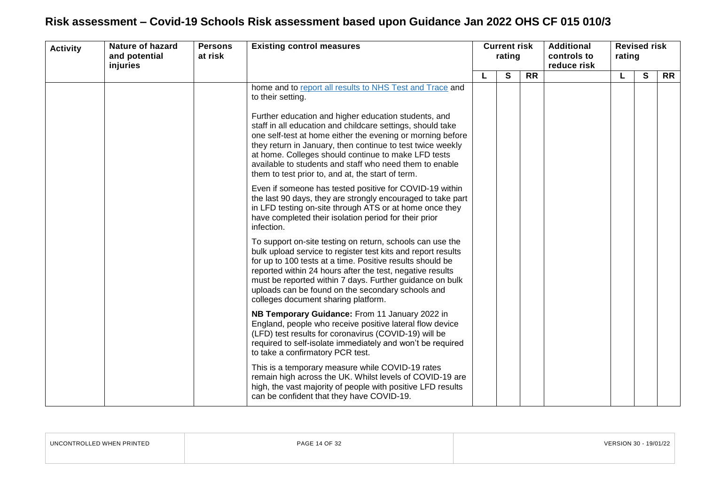| <b>Activity</b> | <b>Nature of hazard</b><br>and potential<br>injuries | <b>Persons</b><br>at risk | <b>Existing control measures</b>                                                                                                                                                                                                                                                                                                                                                                                      | <b>Current risk</b><br>rating |   | <b>Additional</b><br>reduce risk |  | controls to | <b>Revised risk</b><br>rating |           |  |  |  |
|-----------------|------------------------------------------------------|---------------------------|-----------------------------------------------------------------------------------------------------------------------------------------------------------------------------------------------------------------------------------------------------------------------------------------------------------------------------------------------------------------------------------------------------------------------|-------------------------------|---|----------------------------------|--|-------------|-------------------------------|-----------|--|--|--|
|                 |                                                      |                           |                                                                                                                                                                                                                                                                                                                                                                                                                       |                               | S | <b>RR</b>                        |  |             | S                             | <b>RR</b> |  |  |  |
|                 |                                                      |                           | home and to report all results to NHS Test and Trace and<br>to their setting.                                                                                                                                                                                                                                                                                                                                         |                               |   |                                  |  |             |                               |           |  |  |  |
|                 |                                                      |                           | Further education and higher education students, and<br>staff in all education and childcare settings, should take<br>one self-test at home either the evening or morning before<br>they return in January, then continue to test twice weekly<br>at home. Colleges should continue to make LFD tests<br>available to students and staff who need them to enable<br>them to test prior to, and at, the start of term. |                               |   |                                  |  |             |                               |           |  |  |  |
|                 |                                                      |                           | Even if someone has tested positive for COVID-19 within<br>the last 90 days, they are strongly encouraged to take part<br>in LFD testing on-site through ATS or at home once they<br>have completed their isolation period for their prior<br>infection.                                                                                                                                                              |                               |   |                                  |  |             |                               |           |  |  |  |
|                 |                                                      |                           | To support on-site testing on return, schools can use the<br>bulk upload service to register test kits and report results<br>for up to 100 tests at a time. Positive results should be<br>reported within 24 hours after the test, negative results<br>must be reported within 7 days. Further guidance on bulk<br>uploads can be found on the secondary schools and<br>colleges document sharing platform.           |                               |   |                                  |  |             |                               |           |  |  |  |
|                 |                                                      |                           | NB Temporary Guidance: From 11 January 2022 in<br>England, people who receive positive lateral flow device<br>(LFD) test results for coronavirus (COVID-19) will be<br>required to self-isolate immediately and won't be required<br>to take a confirmatory PCR test.                                                                                                                                                 |                               |   |                                  |  |             |                               |           |  |  |  |
|                 |                                                      |                           | This is a temporary measure while COVID-19 rates<br>remain high across the UK. Whilst levels of COVID-19 are<br>high, the vast majority of people with positive LFD results<br>can be confident that they have COVID-19.                                                                                                                                                                                              |                               |   |                                  |  |             |                               |           |  |  |  |

<span id="page-13-0"></span>

| UNCONTROLLED WHEN PRINTED | PAGE 14 OF 32 | VERSION 30 - 19/01/22 |
|---------------------------|---------------|-----------------------|
|                           |               |                       |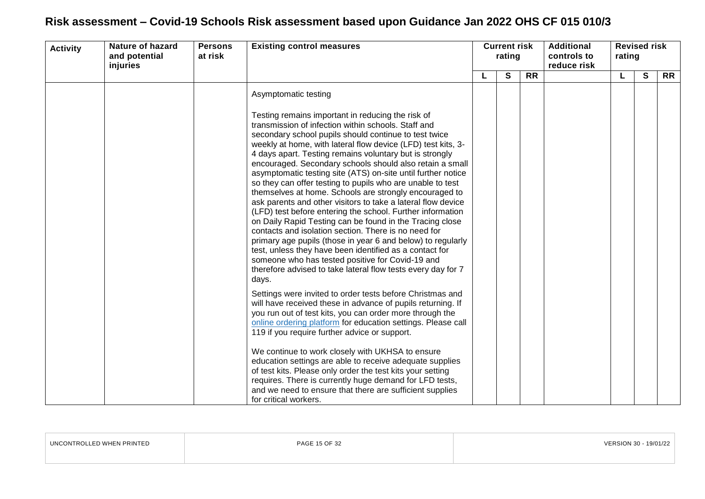| <b>Activity</b> | <b>Nature of hazard</b><br>and potential<br>injuries | <b>Persons</b><br>at risk | <b>Existing control measures</b>                                                                                                                                                                                                                                                                                                                                                                                                                                                                                                                                                                                                                                                                                                                                                                                                                                                                                                                                                                                                                                                                                                                                                                                                                                                                                                                                                                                                                                                                                                                                                                                                                                                                 | <b>Current risk</b><br>rating |  | <b>Additional</b><br>controls to<br>reduce risk | rating       | <b>Revised risk</b> |  |
|-----------------|------------------------------------------------------|---------------------------|--------------------------------------------------------------------------------------------------------------------------------------------------------------------------------------------------------------------------------------------------------------------------------------------------------------------------------------------------------------------------------------------------------------------------------------------------------------------------------------------------------------------------------------------------------------------------------------------------------------------------------------------------------------------------------------------------------------------------------------------------------------------------------------------------------------------------------------------------------------------------------------------------------------------------------------------------------------------------------------------------------------------------------------------------------------------------------------------------------------------------------------------------------------------------------------------------------------------------------------------------------------------------------------------------------------------------------------------------------------------------------------------------------------------------------------------------------------------------------------------------------------------------------------------------------------------------------------------------------------------------------------------------------------------------------------------------|-------------------------------|--|-------------------------------------------------|--------------|---------------------|--|
|                 |                                                      |                           | S                                                                                                                                                                                                                                                                                                                                                                                                                                                                                                                                                                                                                                                                                                                                                                                                                                                                                                                                                                                                                                                                                                                                                                                                                                                                                                                                                                                                                                                                                                                                                                                                                                                                                                | <b>RR</b>                     |  |                                                 | $\mathbf{s}$ | <b>RR</b>           |  |
|                 |                                                      |                           | Asymptomatic testing                                                                                                                                                                                                                                                                                                                                                                                                                                                                                                                                                                                                                                                                                                                                                                                                                                                                                                                                                                                                                                                                                                                                                                                                                                                                                                                                                                                                                                                                                                                                                                                                                                                                             |                               |  |                                                 |              |                     |  |
|                 |                                                      |                           | Testing remains important in reducing the risk of<br>transmission of infection within schools. Staff and<br>secondary school pupils should continue to test twice<br>weekly at home, with lateral flow device (LFD) test kits, 3-<br>4 days apart. Testing remains voluntary but is strongly<br>encouraged. Secondary schools should also retain a small<br>asymptomatic testing site (ATS) on-site until further notice<br>so they can offer testing to pupils who are unable to test<br>themselves at home. Schools are strongly encouraged to<br>ask parents and other visitors to take a lateral flow device<br>(LFD) test before entering the school. Further information<br>on Daily Rapid Testing can be found in the Tracing close<br>contacts and isolation section. There is no need for<br>primary age pupils (those in year 6 and below) to regularly<br>test, unless they have been identified as a contact for<br>someone who has tested positive for Covid-19 and<br>therefore advised to take lateral flow tests every day for 7<br>days.<br>Settings were invited to order tests before Christmas and<br>will have received these in advance of pupils returning. If<br>you run out of test kits, you can order more through the<br>online ordering platform for education settings. Please call<br>119 if you require further advice or support.<br>We continue to work closely with UKHSA to ensure<br>education settings are able to receive adequate supplies<br>of test kits. Please only order the test kits your setting<br>requires. There is currently huge demand for LFD tests,<br>and we need to ensure that there are sufficient supplies<br>for critical workers. |                               |  |                                                 |              |                     |  |

| UNCONTROLLED WHEN PRINTED | PAGE 15 OF 32 | VERSION 30 - 19/01/22 |
|---------------------------|---------------|-----------------------|
|                           |               |                       |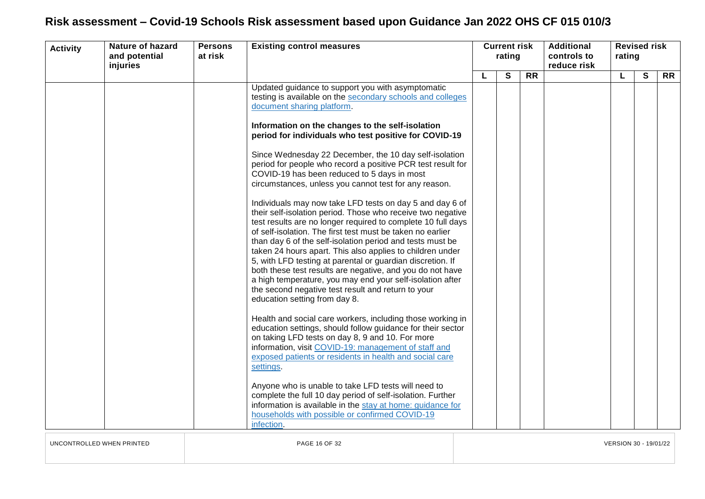| <b>Activity</b> | <b>Nature of hazard</b><br>and potential<br>injuries | <b>Persons</b><br>at risk | <b>Existing control measures</b>                                                                                                                                                                                                                                                                                                                                                                                                                                                                                                                                                                                                                                                                                                                                                                                                                                                                                                                                                                                                                                                                                                                              | rating |   |           |  | <b>Current risk</b> |              |           |  |  |  |  |  |  |  |  |  |  |  |  |  |  | <b>Additional</b><br>controls to<br>reduce risk | rating | <b>Revised risk</b> |  |
|-----------------|------------------------------------------------------|---------------------------|---------------------------------------------------------------------------------------------------------------------------------------------------------------------------------------------------------------------------------------------------------------------------------------------------------------------------------------------------------------------------------------------------------------------------------------------------------------------------------------------------------------------------------------------------------------------------------------------------------------------------------------------------------------------------------------------------------------------------------------------------------------------------------------------------------------------------------------------------------------------------------------------------------------------------------------------------------------------------------------------------------------------------------------------------------------------------------------------------------------------------------------------------------------|--------|---|-----------|--|---------------------|--------------|-----------|--|--|--|--|--|--|--|--|--|--|--|--|--|--|-------------------------------------------------|--------|---------------------|--|
|                 |                                                      |                           |                                                                                                                                                                                                                                                                                                                                                                                                                                                                                                                                                                                                                                                                                                                                                                                                                                                                                                                                                                                                                                                                                                                                                               | L      | S | <b>RR</b> |  | L.                  | $\mathbf{s}$ | <b>RR</b> |  |  |  |  |  |  |  |  |  |  |  |  |  |  |                                                 |        |                     |  |
|                 |                                                      |                           | Updated guidance to support you with asymptomatic<br>testing is available on the secondary schools and colleges<br>document sharing platform.<br>Information on the changes to the self-isolation<br>period for individuals who test positive for COVID-19<br>Since Wednesday 22 December, the 10 day self-isolation<br>period for people who record a positive PCR test result for<br>COVID-19 has been reduced to 5 days in most<br>circumstances, unless you cannot test for any reason.<br>Individuals may now take LFD tests on day 5 and day 6 of<br>their self-isolation period. Those who receive two negative<br>test results are no longer required to complete 10 full days<br>of self-isolation. The first test must be taken no earlier<br>than day 6 of the self-isolation period and tests must be<br>taken 24 hours apart. This also applies to children under<br>5, with LFD testing at parental or guardian discretion. If<br>both these test results are negative, and you do not have<br>a high temperature, you may end your self-isolation after<br>the second negative test result and return to your<br>education setting from day 8. |        |   |           |  |                     |              |           |  |  |  |  |  |  |  |  |  |  |  |  |  |  |                                                 |        |                     |  |
|                 |                                                      |                           | Health and social care workers, including those working in<br>education settings, should follow guidance for their sector<br>on taking LFD tests on day 8, 9 and 10. For more<br>information, visit COVID-19: management of staff and<br>exposed patients or residents in health and social care<br>settings.<br>Anyone who is unable to take LFD tests will need to<br>complete the full 10 day period of self-isolation. Further<br>information is available in the stay at home: guidance for<br>households with possible or confirmed COVID-19<br>infection.                                                                                                                                                                                                                                                                                                                                                                                                                                                                                                                                                                                              |        |   |           |  |                     |              |           |  |  |  |  |  |  |  |  |  |  |  |  |  |  |                                                 |        |                     |  |

UNCONTROLLED WHEN PRINTED PAGE 16 OF 32 VERSION 30 - 19/01/22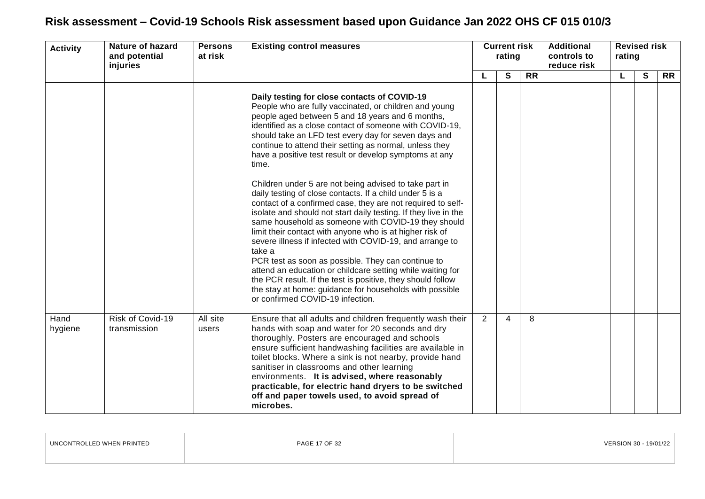| <b>Activity</b> | <b>Nature of hazard</b><br><b>Existing control measures</b><br><b>Persons</b><br>at risk<br>and potential<br>injuries |                   | <b>Current risk</b><br>rating                                                                                                                                                                                                                                                                                                                                                                                                                                                                                                                                                                                                                                                                                                                                                                                                                                                                                                                                                                                                                                                                                                                  |   |   | <b>Additional</b><br>controls to<br>reduce risk | <b>Revised risk</b><br>rating |    |              |           |
|-----------------|-----------------------------------------------------------------------------------------------------------------------|-------------------|------------------------------------------------------------------------------------------------------------------------------------------------------------------------------------------------------------------------------------------------------------------------------------------------------------------------------------------------------------------------------------------------------------------------------------------------------------------------------------------------------------------------------------------------------------------------------------------------------------------------------------------------------------------------------------------------------------------------------------------------------------------------------------------------------------------------------------------------------------------------------------------------------------------------------------------------------------------------------------------------------------------------------------------------------------------------------------------------------------------------------------------------|---|---|-------------------------------------------------|-------------------------------|----|--------------|-----------|
|                 |                                                                                                                       |                   |                                                                                                                                                                                                                                                                                                                                                                                                                                                                                                                                                                                                                                                                                                                                                                                                                                                                                                                                                                                                                                                                                                                                                |   | S | <b>RR</b>                                       |                               | L. | $\mathbf{s}$ | <b>RR</b> |
|                 |                                                                                                                       |                   | Daily testing for close contacts of COVID-19<br>People who are fully vaccinated, or children and young<br>people aged between 5 and 18 years and 6 months,<br>identified as a close contact of someone with COVID-19,<br>should take an LFD test every day for seven days and<br>continue to attend their setting as normal, unless they<br>have a positive test result or develop symptoms at any<br>time.<br>Children under 5 are not being advised to take part in<br>daily testing of close contacts. If a child under 5 is a<br>contact of a confirmed case, they are not required to self-<br>isolate and should not start daily testing. If they live in the<br>same household as someone with COVID-19 they should<br>limit their contact with anyone who is at higher risk of<br>severe illness if infected with COVID-19, and arrange to<br>take a<br>PCR test as soon as possible. They can continue to<br>attend an education or childcare setting while waiting for<br>the PCR result. If the test is positive, they should follow<br>the stay at home: guidance for households with possible<br>or confirmed COVID-19 infection. |   |   |                                                 |                               |    |              |           |
| Hand<br>hygiene | Risk of Covid-19<br>transmission                                                                                      | All site<br>users | Ensure that all adults and children frequently wash their<br>hands with soap and water for 20 seconds and dry<br>thoroughly. Posters are encouraged and schools<br>ensure sufficient handwashing facilities are available in<br>toilet blocks. Where a sink is not nearby, provide hand<br>sanitiser in classrooms and other learning<br>environments. It is advised, where reasonably<br>practicable, for electric hand dryers to be switched<br>off and paper towels used, to avoid spread of<br>microbes.                                                                                                                                                                                                                                                                                                                                                                                                                                                                                                                                                                                                                                   | 2 | 4 | 8                                               |                               |    |              |           |

| . <i>.</i><br>' PRINTEL<br>. . | DAL | 19/01/2 |
|--------------------------------|-----|---------|
|                                |     |         |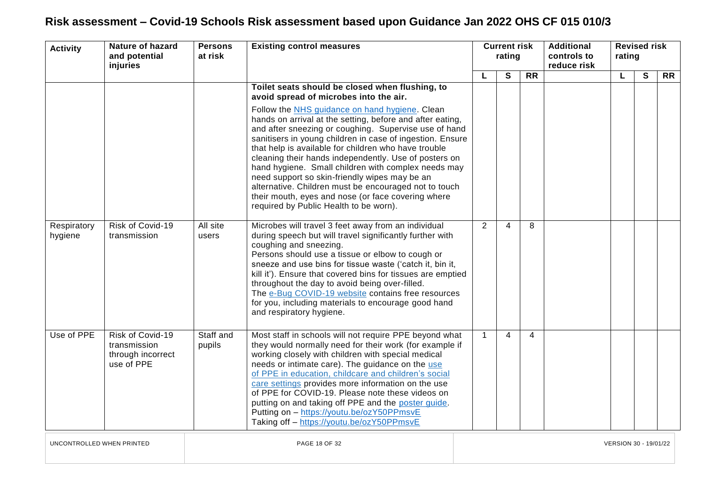| <b>Activity</b>        | <b>Nature of hazard</b><br>and potential<br>injuries                | <b>Persons</b><br>at risk | <b>Existing control measures</b>                                                                                                                                                                                                                                                                                                                                                                                                                                                                                                                                                                                                                                                                                 | <b>Current risk</b><br>rating |   | <b>Additional</b><br>controls to<br>reduce risk |  | <b>Revised risk</b><br>rating |   |           |
|------------------------|---------------------------------------------------------------------|---------------------------|------------------------------------------------------------------------------------------------------------------------------------------------------------------------------------------------------------------------------------------------------------------------------------------------------------------------------------------------------------------------------------------------------------------------------------------------------------------------------------------------------------------------------------------------------------------------------------------------------------------------------------------------------------------------------------------------------------------|-------------------------------|---|-------------------------------------------------|--|-------------------------------|---|-----------|
|                        |                                                                     |                           |                                                                                                                                                                                                                                                                                                                                                                                                                                                                                                                                                                                                                                                                                                                  | L                             | S | <b>RR</b>                                       |  | L                             | S | <b>RR</b> |
|                        |                                                                     |                           | Toilet seats should be closed when flushing, to<br>avoid spread of microbes into the air.<br>Follow the NHS guidance on hand hygiene. Clean<br>hands on arrival at the setting, before and after eating,<br>and after sneezing or coughing. Supervise use of hand<br>sanitisers in young children in case of ingestion. Ensure<br>that help is available for children who have trouble<br>cleaning their hands independently. Use of posters on<br>hand hygiene. Small children with complex needs may<br>need support so skin-friendly wipes may be an<br>alternative. Children must be encouraged not to touch<br>their mouth, eyes and nose (or face covering where<br>required by Public Health to be worn). |                               |   |                                                 |  |                               |   |           |
| Respiratory<br>hygiene | Risk of Covid-19<br>transmission                                    | All site<br>users         | Microbes will travel 3 feet away from an individual<br>during speech but will travel significantly further with<br>coughing and sneezing.<br>Persons should use a tissue or elbow to cough or<br>sneeze and use bins for tissue waste ('catch it, bin it,<br>kill it'). Ensure that covered bins for tissues are emptied<br>throughout the day to avoid being over-filled.<br>The e-Bug COVID-19 website contains free resources<br>for you, including materials to encourage good hand<br>and respiratory hygiene.                                                                                                                                                                                              | 2                             | 4 | 8                                               |  |                               |   |           |
| Use of PPE             | Risk of Covid-19<br>transmission<br>through incorrect<br>use of PPE | Staff and<br>pupils       | Most staff in schools will not require PPE beyond what<br>they would normally need for their work (for example if<br>working closely with children with special medical<br>needs or intimate care). The guidance on the use<br>of PPE in education, childcare and children's social<br>care settings provides more information on the use<br>of PPE for COVID-19. Please note these videos on<br>putting on and taking off PPE and the poster quide.<br>Putting on - https://youtu.be/ozY50PPmsvE<br>Taking off - https://youtu.be/ozY50PPmsvE                                                                                                                                                                   | $\overline{1}$                | 4 | 4                                               |  |                               |   |           |

UNCONTROLLED WHEN PRINTED PAGE 18 OF 32 VERSION 30 - 19/01/22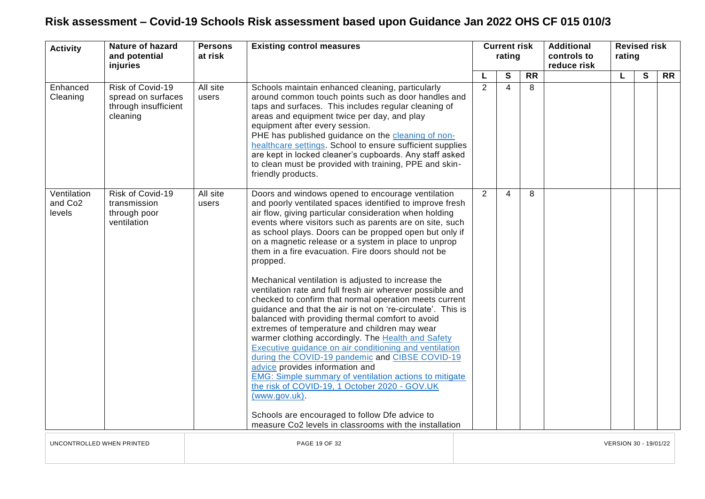| <b>Activity</b>                              | <b>Nature of hazard</b><br>and potential<br>injuries                       | <b>Persons</b><br>at risk | <b>Existing control measures</b><br><b>Current risk</b><br>rating                                                                                                                                                                                                                                                                                                                                                                                                                                                                                                                                                                                                                                                                                                                                                                                                                                                                                                                                                                                                                                                                                                                                                             |                       |                |   |                 |  | <b>Additional</b><br>controls to<br>reduce risk |   | rating    | <b>Revised risk</b> |  |
|----------------------------------------------|----------------------------------------------------------------------------|---------------------------|-------------------------------------------------------------------------------------------------------------------------------------------------------------------------------------------------------------------------------------------------------------------------------------------------------------------------------------------------------------------------------------------------------------------------------------------------------------------------------------------------------------------------------------------------------------------------------------------------------------------------------------------------------------------------------------------------------------------------------------------------------------------------------------------------------------------------------------------------------------------------------------------------------------------------------------------------------------------------------------------------------------------------------------------------------------------------------------------------------------------------------------------------------------------------------------------------------------------------------|-----------------------|----------------|---|-----------------|--|-------------------------------------------------|---|-----------|---------------------|--|
|                                              |                                                                            |                           |                                                                                                                                                                                                                                                                                                                                                                                                                                                                                                                                                                                                                                                                                                                                                                                                                                                                                                                                                                                                                                                                                                                                                                                                                               |                       |                | S | $\overline{RR}$ |  | L                                               | S | <b>RR</b> |                     |  |
| Enhanced<br>Cleaning                         | Risk of Covid-19<br>spread on surfaces<br>through insufficient<br>cleaning | All site<br>users         | Schools maintain enhanced cleaning, particularly<br>around common touch points such as door handles and<br>taps and surfaces. This includes regular cleaning of<br>areas and equipment twice per day, and play<br>equipment after every session.<br>PHE has published guidance on the cleaning of non-<br>healthcare settings. School to ensure sufficient supplies<br>are kept in locked cleaner's cupboards. Any staff asked<br>to clean must be provided with training, PPE and skin-<br>friendly products.                                                                                                                                                                                                                                                                                                                                                                                                                                                                                                                                                                                                                                                                                                                |                       | 2              | 4 | 8               |  |                                                 |   |           |                     |  |
| Ventilation<br>and Co <sub>2</sub><br>levels | Risk of Covid-19<br>transmission<br>through poor<br>ventilation            | All site<br>users         | Doors and windows opened to encourage ventilation<br>and poorly ventilated spaces identified to improve fresh<br>air flow, giving particular consideration when holding<br>events where visitors such as parents are on site, such<br>as school plays. Doors can be propped open but only if<br>on a magnetic release or a system in place to unprop<br>them in a fire evacuation. Fire doors should not be<br>propped.<br>Mechanical ventilation is adjusted to increase the<br>ventilation rate and full fresh air wherever possible and<br>checked to confirm that normal operation meets current<br>guidance and that the air is not on 're-circulate'. This is<br>balanced with providing thermal comfort to avoid<br>extremes of temperature and children may wear<br>warmer clothing accordingly. The Health and Safety<br>Executive guidance on air conditioning and ventilation<br>during the COVID-19 pandemic and CIBSE COVID-19<br>advice provides information and<br><b>EMG: Simple summary of ventilation actions to mitigate</b><br>the risk of COVID-19, 1 October 2020 - GOV.UK<br>(www.gov.uk).<br>Schools are encouraged to follow Dfe advice to<br>measure Co2 levels in classrooms with the installation |                       | $\overline{2}$ | 4 | 8               |  |                                                 |   |           |                     |  |
| UNCONTROLLED WHEN PRINTED                    |                                                                            |                           | PAGE 19 OF 32                                                                                                                                                                                                                                                                                                                                                                                                                                                                                                                                                                                                                                                                                                                                                                                                                                                                                                                                                                                                                                                                                                                                                                                                                 | VERSION 30 - 19/01/22 |                |   |                 |  |                                                 |   |           |                     |  |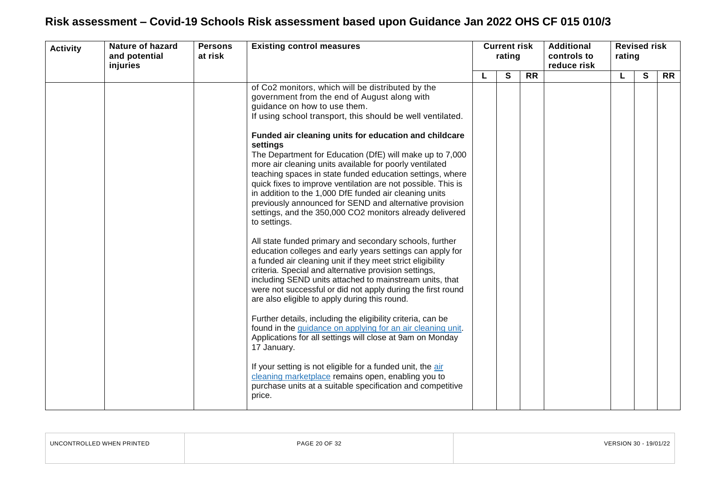| <b>Activity</b> | <b>Nature of hazard</b><br>and potential | <b>Existing control measures</b><br><b>Persons</b><br>at risk |                                                                                                                                                                                                                                                                                                                                                                                                                                                                                                                                                                                                                                                                                                                                                                                                                                                                                                                                                                                                                                                                                                                                                                                                                                                                                                                                                | <b>Current risk</b><br>rating |   |           | <b>Additional</b><br>controls to | <b>Revised risk</b><br>rating |              |           |  |  |
|-----------------|------------------------------------------|---------------------------------------------------------------|------------------------------------------------------------------------------------------------------------------------------------------------------------------------------------------------------------------------------------------------------------------------------------------------------------------------------------------------------------------------------------------------------------------------------------------------------------------------------------------------------------------------------------------------------------------------------------------------------------------------------------------------------------------------------------------------------------------------------------------------------------------------------------------------------------------------------------------------------------------------------------------------------------------------------------------------------------------------------------------------------------------------------------------------------------------------------------------------------------------------------------------------------------------------------------------------------------------------------------------------------------------------------------------------------------------------------------------------|-------------------------------|---|-----------|----------------------------------|-------------------------------|--------------|-----------|--|--|
|                 |                                          |                                                               |                                                                                                                                                                                                                                                                                                                                                                                                                                                                                                                                                                                                                                                                                                                                                                                                                                                                                                                                                                                                                                                                                                                                                                                                                                                                                                                                                |                               | S | <b>RR</b> |                                  | L.                            | $\mathbf{s}$ | <b>RR</b> |  |  |
|                 | injuries                                 |                                                               | of Co2 monitors, which will be distributed by the<br>government from the end of August along with<br>guidance on how to use them.<br>If using school transport, this should be well ventilated.<br>Funded air cleaning units for education and childcare<br>settings<br>The Department for Education (DfE) will make up to 7,000<br>more air cleaning units available for poorly ventilated<br>teaching spaces in state funded education settings, where<br>quick fixes to improve ventilation are not possible. This is<br>in addition to the 1,000 DfE funded air cleaning units<br>previously announced for SEND and alternative provision<br>settings, and the 350,000 CO2 monitors already delivered<br>to settings.<br>All state funded primary and secondary schools, further<br>education colleges and early years settings can apply for<br>a funded air cleaning unit if they meet strict eligibility<br>criteria. Special and alternative provision settings,<br>including SEND units attached to mainstream units, that<br>were not successful or did not apply during the first round<br>are also eligible to apply during this round.<br>Further details, including the eligibility criteria, can be<br>found in the guidance on applying for an air cleaning unit.<br>Applications for all settings will close at 9am on Monday |                               |   |           | reduce risk                      |                               |              |           |  |  |
|                 |                                          |                                                               | 17 January.<br>If your setting is not eligible for a funded unit, the air<br>cleaning marketplace remains open, enabling you to<br>purchase units at a suitable specification and competitive<br>price.                                                                                                                                                                                                                                                                                                                                                                                                                                                                                                                                                                                                                                                                                                                                                                                                                                                                                                                                                                                                                                                                                                                                        |                               |   |           |                                  |                               |              |           |  |  |

| UNCONTROLLED WHEN PRINTED | PAGE 20 OF 32 | VERSION 30 - 19/01/22 |
|---------------------------|---------------|-----------------------|
|                           |               |                       |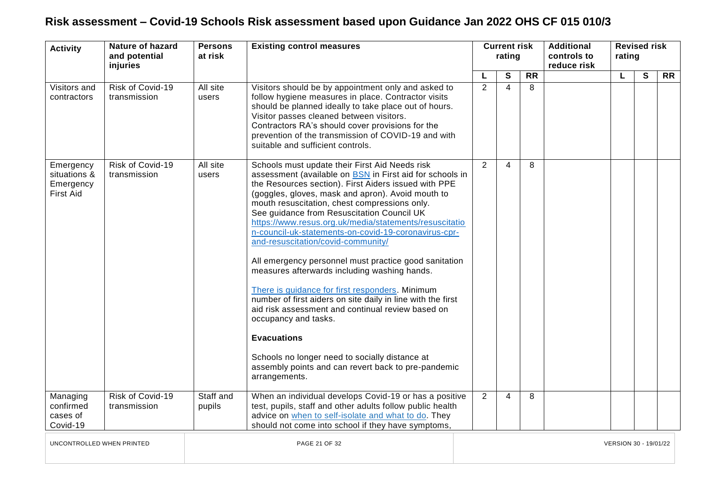| <b>Activity</b>                                            | Nature of hazard<br>and potential<br>injuries | <b>Persons</b><br>at risk | <b>Existing control measures</b>                                                                                                                                                                                                                                                                                                                                                                                                                                                                                                                                                                                                                                                                                                                                                                                                                                                                                                       |                       | rating |   |                 |  | <b>Current risk</b> |                |                 | <b>Additional</b><br>controls to<br>reduce risk | <b>Revised risk</b><br>rating |  |  |
|------------------------------------------------------------|-----------------------------------------------|---------------------------|----------------------------------------------------------------------------------------------------------------------------------------------------------------------------------------------------------------------------------------------------------------------------------------------------------------------------------------------------------------------------------------------------------------------------------------------------------------------------------------------------------------------------------------------------------------------------------------------------------------------------------------------------------------------------------------------------------------------------------------------------------------------------------------------------------------------------------------------------------------------------------------------------------------------------------------|-----------------------|--------|---|-----------------|--|---------------------|----------------|-----------------|-------------------------------------------------|-------------------------------|--|--|
|                                                            |                                               |                           |                                                                                                                                                                                                                                                                                                                                                                                                                                                                                                                                                                                                                                                                                                                                                                                                                                                                                                                                        |                       | L      | S | $\overline{RR}$ |  | L                   | $\overline{s}$ | $\overline{RR}$ |                                                 |                               |  |  |
| Visitors and<br>contractors                                | Risk of Covid-19<br>transmission              | All site<br>users         | Visitors should be by appointment only and asked to<br>follow hygiene measures in place. Contractor visits<br>should be planned ideally to take place out of hours.<br>Visitor passes cleaned between visitors.<br>Contractors RA's should cover provisions for the<br>prevention of the transmission of COVID-19 and with<br>suitable and sufficient controls.                                                                                                                                                                                                                                                                                                                                                                                                                                                                                                                                                                        |                       | 2      | 4 | 8               |  |                     |                |                 |                                                 |                               |  |  |
| Emergency<br>situations &<br>Emergency<br><b>First Aid</b> | Risk of Covid-19<br>transmission              | All site<br>users         | Schools must update their First Aid Needs risk<br>assessment (available on BSN in First aid for schools in<br>the Resources section). First Aiders issued with PPE<br>(goggles, gloves, mask and apron). Avoid mouth to<br>mouth resuscitation, chest compressions only.<br>See guidance from Resuscitation Council UK<br>https://www.resus.org.uk/media/statements/resuscitatio<br>n-council-uk-statements-on-covid-19-coronavirus-cpr-<br>and-resuscitation/covid-community/<br>All emergency personnel must practice good sanitation<br>measures afterwards including washing hands.<br>There is guidance for first responders. Minimum<br>number of first aiders on site daily in line with the first<br>aid risk assessment and continual review based on<br>occupancy and tasks.<br><b>Evacuations</b><br>Schools no longer need to socially distance at<br>assembly points and can revert back to pre-pandemic<br>arrangements. |                       | 2      | 4 | 8               |  |                     |                |                 |                                                 |                               |  |  |
| Managing<br>confirmed<br>cases of<br>Covid-19              | Risk of Covid-19<br>transmission              | Staff and<br>pupils       | When an individual develops Covid-19 or has a positive<br>test, pupils, staff and other adults follow public health<br>advice on when to self-isolate and what to do. They<br>should not come into school if they have symptoms,                                                                                                                                                                                                                                                                                                                                                                                                                                                                                                                                                                                                                                                                                                       |                       | 2      | 4 | 8               |  |                     |                |                 |                                                 |                               |  |  |
| UNCONTROLLED WHEN PRINTED                                  |                                               |                           | PAGE 21 OF 32                                                                                                                                                                                                                                                                                                                                                                                                                                                                                                                                                                                                                                                                                                                                                                                                                                                                                                                          | VERSION 30 - 19/01/22 |        |   |                 |  |                     |                |                 |                                                 |                               |  |  |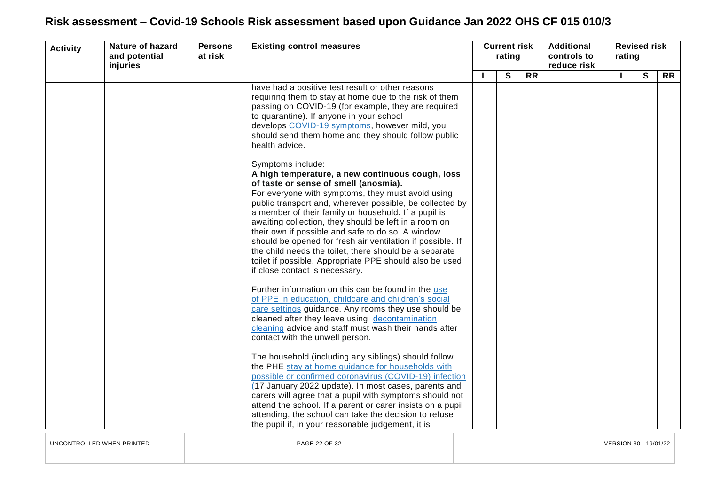| <b>Activity</b> | <b>Nature of hazard</b><br>and potential<br>injuries | <b>Persons</b><br>at risk | <b>Existing control measures</b>                                                                                                                                                                                                                                                                                                                                                                                                                                                                                                                                                                                           | rating |   | <b>Current risk</b> |  |    |              |           |  |  |  |  |  |  |  |  |  |  |  |  | <b>Additional</b><br>controls to<br>reduce risk | rating | <b>Revised risk</b> |  |
|-----------------|------------------------------------------------------|---------------------------|----------------------------------------------------------------------------------------------------------------------------------------------------------------------------------------------------------------------------------------------------------------------------------------------------------------------------------------------------------------------------------------------------------------------------------------------------------------------------------------------------------------------------------------------------------------------------------------------------------------------------|--------|---|---------------------|--|----|--------------|-----------|--|--|--|--|--|--|--|--|--|--|--|--|-------------------------------------------------|--------|---------------------|--|
|                 |                                                      |                           |                                                                                                                                                                                                                                                                                                                                                                                                                                                                                                                                                                                                                            | L      | S | <b>RR</b>           |  | L. | $\mathbf{s}$ | <b>RR</b> |  |  |  |  |  |  |  |  |  |  |  |  |                                                 |        |                     |  |
|                 |                                                      |                           | have had a positive test result or other reasons<br>requiring them to stay at home due to the risk of them<br>passing on COVID-19 (for example, they are required<br>to quarantine). If anyone in your school<br>develops COVID-19 symptoms, however mild, you<br>should send them home and they should follow public<br>health advice.                                                                                                                                                                                                                                                                                    |        |   |                     |  |    |              |           |  |  |  |  |  |  |  |  |  |  |  |  |                                                 |        |                     |  |
|                 |                                                      |                           | Symptoms include:<br>A high temperature, a new continuous cough, loss<br>of taste or sense of smell (anosmia).<br>For everyone with symptoms, they must avoid using<br>public transport and, wherever possible, be collected by<br>a member of their family or household. If a pupil is<br>awaiting collection, they should be left in a room on<br>their own if possible and safe to do so. A window<br>should be opened for fresh air ventilation if possible. If<br>the child needs the toilet, there should be a separate<br>toilet if possible. Appropriate PPE should also be used<br>if close contact is necessary. |        |   |                     |  |    |              |           |  |  |  |  |  |  |  |  |  |  |  |  |                                                 |        |                     |  |
|                 |                                                      |                           | Further information on this can be found in the use<br>of PPE in education, childcare and children's social<br>care settings guidance. Any rooms they use should be<br>cleaned after they leave using decontamination<br>cleaning advice and staff must wash their hands after<br>contact with the unwell person.<br>The household (including any siblings) should follow<br>the PHE stay at home guidance for households with                                                                                                                                                                                             |        |   |                     |  |    |              |           |  |  |  |  |  |  |  |  |  |  |  |  |                                                 |        |                     |  |
|                 |                                                      |                           | possible or confirmed coronavirus (COVID-19) infection<br>(17 January 2022 update). In most cases, parents and<br>carers will agree that a pupil with symptoms should not<br>attend the school. If a parent or carer insists on a pupil<br>attending, the school can take the decision to refuse<br>the pupil if, in your reasonable judgement, it is                                                                                                                                                                                                                                                                      |        |   |                     |  |    |              |           |  |  |  |  |  |  |  |  |  |  |  |  |                                                 |        |                     |  |

UNCONTROLLED WHEN PRINTED PAGE 22 OF 32 VERSION 30 - 19/01/22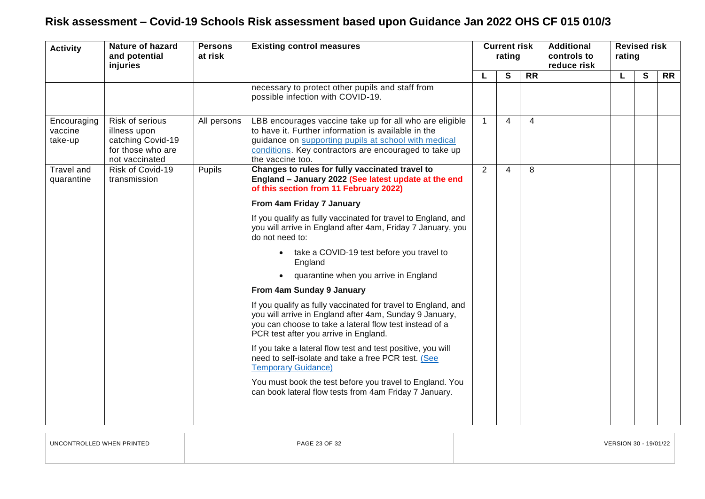<span id="page-22-0"></span>

| <b>Activity</b>                   | <b>Nature of hazard</b><br>and potential<br>injuries                                        | <b>Persons</b><br>at risk | <b>Existing control measures</b>                                                                                                                                                                                                                    | rating         |                | <b>Current risk</b> |  | <b>Additional</b><br>controls to<br>reduce risk |   | <b>Revised risk</b><br>rating |  |  |
|-----------------------------------|---------------------------------------------------------------------------------------------|---------------------------|-----------------------------------------------------------------------------------------------------------------------------------------------------------------------------------------------------------------------------------------------------|----------------|----------------|---------------------|--|-------------------------------------------------|---|-------------------------------|--|--|
|                                   |                                                                                             |                           |                                                                                                                                                                                                                                                     |                | S              | $\overline{RR}$     |  | L                                               | S | <b>RR</b>                     |  |  |
|                                   |                                                                                             |                           | necessary to protect other pupils and staff from<br>possible infection with COVID-19.                                                                                                                                                               |                |                |                     |  |                                                 |   |                               |  |  |
| Encouraging<br>vaccine<br>take-up | Risk of serious<br>illness upon<br>catching Covid-19<br>for those who are<br>not vaccinated | All persons               | LBB encourages vaccine take up for all who are eligible<br>to have it. Further information is available in the<br>guidance on supporting pupils at school with medical<br>conditions. Key contractors are encouraged to take up<br>the vaccine too. | $\mathbf 1$    | $\overline{4}$ | 4                   |  |                                                 |   |                               |  |  |
| Travel and<br>quarantine          | Risk of Covid-19<br>transmission                                                            | Pupils                    | Changes to rules for fully vaccinated travel to<br>England - January 2022 (See latest update at the end<br>of this section from 11 February 2022)                                                                                                   | $\overline{2}$ | 4              | 8                   |  |                                                 |   |                               |  |  |
|                                   |                                                                                             |                           | From 4am Friday 7 January                                                                                                                                                                                                                           |                |                |                     |  |                                                 |   |                               |  |  |
|                                   |                                                                                             |                           | If you qualify as fully vaccinated for travel to England, and<br>you will arrive in England after 4am, Friday 7 January, you<br>do not need to:                                                                                                     |                |                |                     |  |                                                 |   |                               |  |  |
|                                   |                                                                                             |                           | take a COVID-19 test before you travel to<br>England                                                                                                                                                                                                |                |                |                     |  |                                                 |   |                               |  |  |
|                                   |                                                                                             |                           | quarantine when you arrive in England                                                                                                                                                                                                               |                |                |                     |  |                                                 |   |                               |  |  |
|                                   |                                                                                             |                           | From 4am Sunday 9 January                                                                                                                                                                                                                           |                |                |                     |  |                                                 |   |                               |  |  |
|                                   |                                                                                             |                           | If you qualify as fully vaccinated for travel to England, and<br>you will arrive in England after 4am, Sunday 9 January,<br>you can choose to take a lateral flow test instead of a<br>PCR test after you arrive in England.                        |                |                |                     |  |                                                 |   |                               |  |  |
|                                   |                                                                                             |                           | If you take a lateral flow test and test positive, you will<br>need to self-isolate and take a free PCR test. (See<br><b>Temporary Guidance)</b>                                                                                                    |                |                |                     |  |                                                 |   |                               |  |  |
|                                   |                                                                                             |                           | You must book the test before you travel to England. You<br>can book lateral flow tests from 4am Friday 7 January.                                                                                                                                  |                |                |                     |  |                                                 |   |                               |  |  |

UNCONTROLLED WHEN PRINTED PAGE 23 OF 32 VERSION 30 - 19/01/22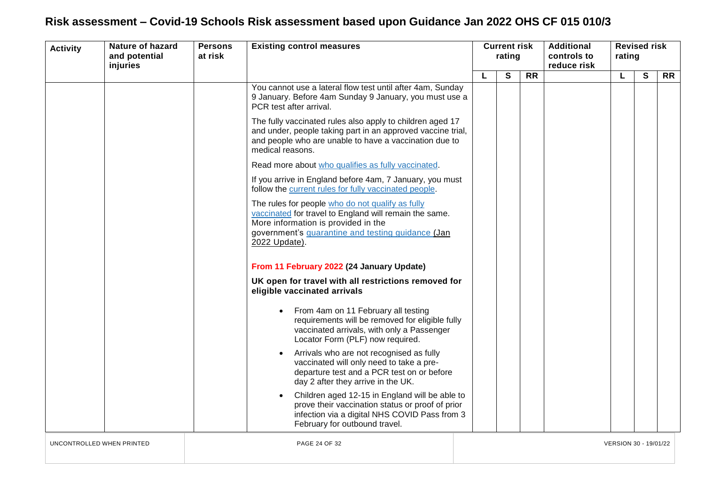| <b>Activity</b>           | <b>Nature of hazard</b><br>and potential<br>injuries | <b>Persons</b><br>at risk | <b>Existing control measures</b>                                                                                                                                                                                        |   |  | <b>Current risk</b><br>rating |                 | <b>Additional</b><br>controls to<br>reduce risk | rating                | <b>Revised risk</b> |           |  |
|---------------------------|------------------------------------------------------|---------------------------|-------------------------------------------------------------------------------------------------------------------------------------------------------------------------------------------------------------------------|---|--|-------------------------------|-----------------|-------------------------------------------------|-----------------------|---------------------|-----------|--|
|                           |                                                      |                           |                                                                                                                                                                                                                         | L |  | S                             | $\overline{RR}$ |                                                 | L                     | $\mathbf{s}$        | <b>RR</b> |  |
|                           |                                                      |                           | You cannot use a lateral flow test until after 4am, Sunday<br>9 January. Before 4am Sunday 9 January, you must use a<br>PCR test after arrival.                                                                         |   |  |                               |                 |                                                 |                       |                     |           |  |
|                           |                                                      |                           | The fully vaccinated rules also apply to children aged 17<br>and under, people taking part in an approved vaccine trial,<br>and people who are unable to have a vaccination due to<br>medical reasons.                  |   |  |                               |                 |                                                 |                       |                     |           |  |
|                           |                                                      |                           | Read more about who qualifies as fully vaccinated.                                                                                                                                                                      |   |  |                               |                 |                                                 |                       |                     |           |  |
|                           |                                                      |                           | If you arrive in England before 4am, 7 January, you must<br>follow the current rules for fully vaccinated people.                                                                                                       |   |  |                               |                 |                                                 |                       |                     |           |  |
|                           |                                                      |                           | The rules for people who do not qualify as fully<br>vaccinated for travel to England will remain the same.<br>More information is provided in the<br>government's quarantine and testing guidance (Jan<br>2022 Update). |   |  |                               |                 |                                                 |                       |                     |           |  |
|                           |                                                      |                           | From 11 February 2022 (24 January Update)                                                                                                                                                                               |   |  |                               |                 |                                                 |                       |                     |           |  |
|                           |                                                      |                           | UK open for travel with all restrictions removed for<br>eligible vaccinated arrivals                                                                                                                                    |   |  |                               |                 |                                                 |                       |                     |           |  |
|                           |                                                      |                           | From 4am on 11 February all testing<br>requirements will be removed for eligible fully<br>vaccinated arrivals, with only a Passenger<br>Locator Form (PLF) now required.                                                |   |  |                               |                 |                                                 |                       |                     |           |  |
|                           |                                                      |                           | Arrivals who are not recognised as fully<br>vaccinated will only need to take a pre-<br>departure test and a PCR test on or before<br>day 2 after they arrive in the UK.                                                |   |  |                               |                 |                                                 |                       |                     |           |  |
|                           |                                                      |                           | Children aged 12-15 in England will be able to<br>prove their vaccination status or proof of prior<br>infection via a digital NHS COVID Pass from 3<br>February for outbound travel.                                    |   |  |                               |                 |                                                 |                       |                     |           |  |
| UNCONTROLLED WHEN PRINTED |                                                      |                           | PAGE 24 OF 32                                                                                                                                                                                                           |   |  |                               |                 |                                                 | VERSION 30 - 19/01/22 |                     |           |  |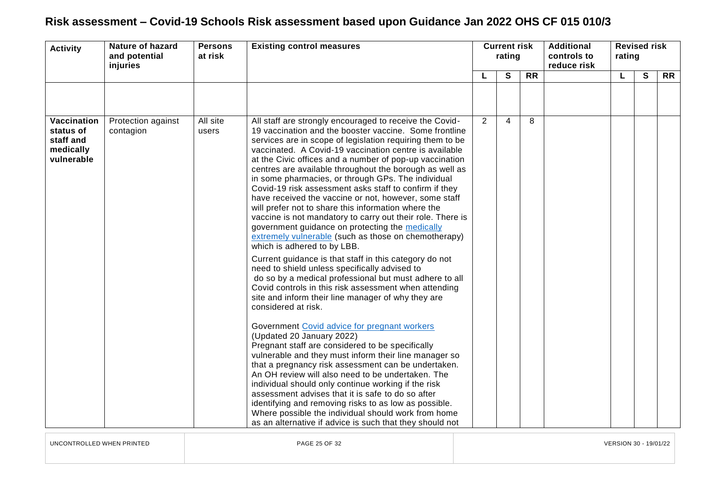| <b>Activity</b>                                                  | <b>Nature of hazard</b><br>and potential<br>injuries |                   | <b>Persons</b><br>at risk                                                                                                                                                                                                                                                                                                                                                                                                                                                                                                                                                                                                                                                                                                                                                                                                                                                                                                                                                                                                                                                                                                                                                                                                                                                                                                                                                                                                                                                                                                                                                                                                                                                                                       | <b>Existing control measures</b> |                | <b>Current risk</b><br>rating |  | <b>Additional</b><br>controls to<br>reduce risk | rating       | <b>Revised risk</b> |  |
|------------------------------------------------------------------|------------------------------------------------------|-------------------|-----------------------------------------------------------------------------------------------------------------------------------------------------------------------------------------------------------------------------------------------------------------------------------------------------------------------------------------------------------------------------------------------------------------------------------------------------------------------------------------------------------------------------------------------------------------------------------------------------------------------------------------------------------------------------------------------------------------------------------------------------------------------------------------------------------------------------------------------------------------------------------------------------------------------------------------------------------------------------------------------------------------------------------------------------------------------------------------------------------------------------------------------------------------------------------------------------------------------------------------------------------------------------------------------------------------------------------------------------------------------------------------------------------------------------------------------------------------------------------------------------------------------------------------------------------------------------------------------------------------------------------------------------------------------------------------------------------------|----------------------------------|----------------|-------------------------------|--|-------------------------------------------------|--------------|---------------------|--|
|                                                                  |                                                      |                   |                                                                                                                                                                                                                                                                                                                                                                                                                                                                                                                                                                                                                                                                                                                                                                                                                                                                                                                                                                                                                                                                                                                                                                                                                                                                                                                                                                                                                                                                                                                                                                                                                                                                                                                 |                                  | $\mathbf{s}$   | <b>RR</b>                     |  |                                                 | $\mathbf{s}$ | <b>RR</b>           |  |
|                                                                  |                                                      |                   |                                                                                                                                                                                                                                                                                                                                                                                                                                                                                                                                                                                                                                                                                                                                                                                                                                                                                                                                                                                                                                                                                                                                                                                                                                                                                                                                                                                                                                                                                                                                                                                                                                                                                                                 |                                  |                |                               |  |                                                 |              |                     |  |
| Vaccination<br>status of<br>staff and<br>medically<br>vulnerable | Protection against<br>contagion                      | All site<br>users | All staff are strongly encouraged to receive the Covid-<br>19 vaccination and the booster vaccine. Some frontline<br>services are in scope of legislation requiring them to be<br>vaccinated. A Covid-19 vaccination centre is available<br>at the Civic offices and a number of pop-up vaccination<br>centres are available throughout the borough as well as<br>in some pharmacies, or through GPs. The individual<br>Covid-19 risk assessment asks staff to confirm if they<br>have received the vaccine or not, however, some staff<br>will prefer not to share this information where the<br>vaccine is not mandatory to carry out their role. There is<br>government guidance on protecting the medically<br>extremely vulnerable (such as those on chemotherapy)<br>which is adhered to by LBB.<br>Current guidance is that staff in this category do not<br>need to shield unless specifically advised to<br>do so by a medical professional but must adhere to all<br>Covid controls in this risk assessment when attending<br>site and inform their line manager of why they are<br>considered at risk.<br>Government Covid advice for pregnant workers<br>(Updated 20 January 2022)<br>Pregnant staff are considered to be specifically<br>vulnerable and they must inform their line manager so<br>that a pregnancy risk assessment can be undertaken.<br>An OH review will also need to be undertaken. The<br>individual should only continue working if the risk<br>assessment advises that it is safe to do so after<br>identifying and removing risks to as low as possible.<br>Where possible the individual should work from home<br>as an alternative if advice is such that they should not | $\overline{2}$                   | $\overline{4}$ | 8                             |  |                                                 |              |                     |  |

UNCONTROLLED WHEN PRINTED PAGE 25 OF 32 VERSION 30 - 19/01/22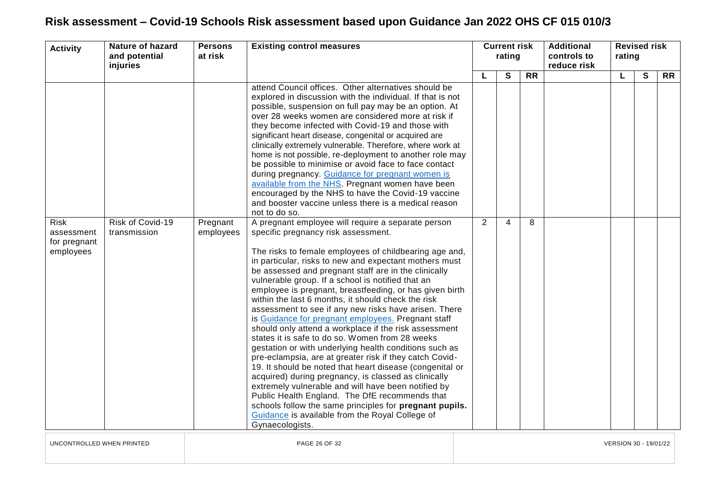| <b>Activity</b>                                        | <b>Nature of hazard</b><br><b>Persons</b><br><b>Existing control measures</b><br>at risk<br>and potential<br>injuries |                       | <b>Current risk</b><br>rating                                                                                                                                                                                                                                                                                                                                                                                                                                                                                                                                                                                                                                                                                                                                                                                                                                                                                                                                                                                                                                                                                                                             |   | <b>Additional</b><br>controls to<br>reduce risk | rating          | <b>Revised risk</b> |   |   |           |
|--------------------------------------------------------|-----------------------------------------------------------------------------------------------------------------------|-----------------------|-----------------------------------------------------------------------------------------------------------------------------------------------------------------------------------------------------------------------------------------------------------------------------------------------------------------------------------------------------------------------------------------------------------------------------------------------------------------------------------------------------------------------------------------------------------------------------------------------------------------------------------------------------------------------------------------------------------------------------------------------------------------------------------------------------------------------------------------------------------------------------------------------------------------------------------------------------------------------------------------------------------------------------------------------------------------------------------------------------------------------------------------------------------|---|-------------------------------------------------|-----------------|---------------------|---|---|-----------|
|                                                        |                                                                                                                       |                       |                                                                                                                                                                                                                                                                                                                                                                                                                                                                                                                                                                                                                                                                                                                                                                                                                                                                                                                                                                                                                                                                                                                                                           |   | S                                               | $\overline{RR}$ |                     | L | S | <b>RR</b> |
|                                                        |                                                                                                                       |                       | attend Council offices. Other alternatives should be<br>explored in discussion with the individual. If that is not<br>possible, suspension on full pay may be an option. At<br>over 28 weeks women are considered more at risk if<br>they become infected with Covid-19 and those with<br>significant heart disease, congenital or acquired are<br>clinically extremely vulnerable. Therefore, where work at<br>home is not possible, re-deployment to another role may<br>be possible to minimise or avoid face to face contact<br>during pregnancy. Guidance for pregnant women is<br>available from the NHS. Pregnant women have been<br>encouraged by the NHS to have the Covid-19 vaccine<br>and booster vaccine unless there is a medical reason<br>not to do so.                                                                                                                                                                                                                                                                                                                                                                                   |   |                                                 |                 |                     |   |   |           |
| <b>Risk</b><br>assessment<br>for pregnant<br>employees | Risk of Covid-19<br>transmission                                                                                      | Pregnant<br>employees | A pregnant employee will require a separate person<br>specific pregnancy risk assessment.<br>The risks to female employees of childbearing age and,<br>in particular, risks to new and expectant mothers must<br>be assessed and pregnant staff are in the clinically<br>vulnerable group. If a school is notified that an<br>employee is pregnant, breastfeeding, or has given birth<br>within the last 6 months, it should check the risk<br>assessment to see if any new risks have arisen. There<br>is Guidance for pregnant employees. Pregnant staff<br>should only attend a workplace if the risk assessment<br>states it is safe to do so. Women from 28 weeks<br>gestation or with underlying health conditions such as<br>pre-eclampsia, are at greater risk if they catch Covid-<br>19. It should be noted that heart disease (congenital or<br>acquired) during pregnancy, is classed as clinically<br>extremely vulnerable and will have been notified by<br>Public Health England. The DfE recommends that<br>schools follow the same principles for pregnant pupils.<br>Guidance is available from the Royal College of<br>Gynaecologists. | 2 | 4                                               | 8               |                     |   |   |           |

UNCONTROLLED WHEN PRINTED PAGE 26 OF 32 VERSION 30 - 19/01/22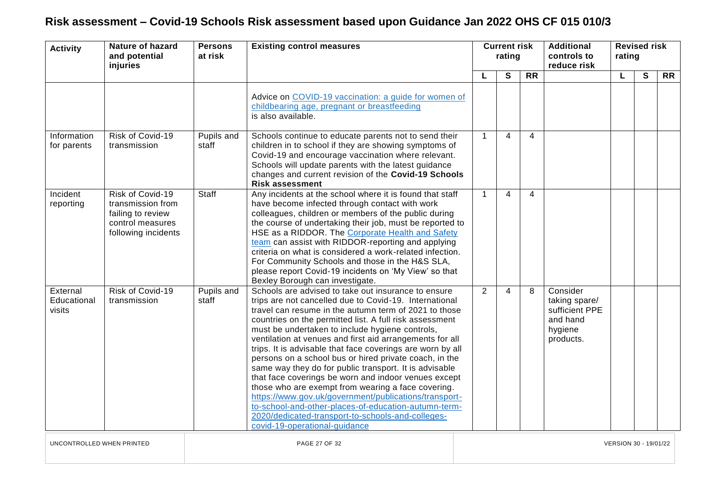| <b>Activity</b>                   | <b>Nature of hazard</b><br>and potential<br>injuries                                                  | <b>Persons</b><br>at risk | <b>Existing control measures</b>                                                                                                                                                                                                                                                                                                                                                                                                                                                                                                                                                                                                                                                                                                                                                                                                                        | <b>Current risk</b><br>rating |   |                 |                                                                                 |   | <b>Additional</b><br>controls to<br>reduce risk | <b>Revised risk</b><br>rating |  |  |
|-----------------------------------|-------------------------------------------------------------------------------------------------------|---------------------------|---------------------------------------------------------------------------------------------------------------------------------------------------------------------------------------------------------------------------------------------------------------------------------------------------------------------------------------------------------------------------------------------------------------------------------------------------------------------------------------------------------------------------------------------------------------------------------------------------------------------------------------------------------------------------------------------------------------------------------------------------------------------------------------------------------------------------------------------------------|-------------------------------|---|-----------------|---------------------------------------------------------------------------------|---|-------------------------------------------------|-------------------------------|--|--|
|                                   |                                                                                                       |                           |                                                                                                                                                                                                                                                                                                                                                                                                                                                                                                                                                                                                                                                                                                                                                                                                                                                         | L                             | S | $\overline{RR}$ |                                                                                 | L | S                                               | $\overline{RR}$               |  |  |
|                                   |                                                                                                       |                           | Advice on COVID-19 vaccination: a guide for women of<br>childbearing age, pregnant or breastfeeding<br>is also available.                                                                                                                                                                                                                                                                                                                                                                                                                                                                                                                                                                                                                                                                                                                               |                               |   |                 |                                                                                 |   |                                                 |                               |  |  |
| Information<br>for parents        | Risk of Covid-19<br>transmission                                                                      | Pupils and<br>staff       | Schools continue to educate parents not to send their<br>children in to school if they are showing symptoms of<br>Covid-19 and encourage vaccination where relevant.<br>Schools will update parents with the latest guidance<br>changes and current revision of the Covid-19 Schools<br><b>Risk assessment</b>                                                                                                                                                                                                                                                                                                                                                                                                                                                                                                                                          | $\overline{1}$                | 4 | 4               |                                                                                 |   |                                                 |                               |  |  |
| Incident<br>reporting             | Risk of Covid-19<br>transmission from<br>failing to review<br>control measures<br>following incidents | Staff                     | Any incidents at the school where it is found that staff<br>have become infected through contact with work<br>colleagues, children or members of the public during<br>the course of undertaking their job, must be reported to<br>HSE as a RIDDOR. The Corporate Health and Safety<br>team can assist with RIDDOR-reporting and applying<br>criteria on what is considered a work-related infection.<br>For Community Schools and those in the H&S SLA,<br>please report Covid-19 incidents on 'My View' so that<br>Bexley Borough can investigate.                                                                                                                                                                                                                                                                                                     | $\overline{1}$                | 4 | 4               |                                                                                 |   |                                                 |                               |  |  |
| External<br>Educational<br>visits | Risk of Covid-19<br>transmission                                                                      | Pupils and<br>staff       | Schools are advised to take out insurance to ensure<br>trips are not cancelled due to Covid-19. International<br>travel can resume in the autumn term of 2021 to those<br>countries on the permitted list. A full risk assessment<br>must be undertaken to include hygiene controls,<br>ventilation at venues and first aid arrangements for all<br>trips. It is advisable that face coverings are worn by all<br>persons on a school bus or hired private coach, in the<br>same way they do for public transport. It is advisable<br>that face coverings be worn and indoor venues except<br>those who are exempt from wearing a face covering.<br>https://www.gov.uk/government/publications/transport-<br>to-school-and-other-places-of-education-autumn-term-<br>2020/dedicated-transport-to-schools-and-colleges-<br>covid-19-operational-guidance | 2                             | 4 | 8               | Consider<br>taking spare/<br>sufficient PPE<br>and hand<br>hygiene<br>products. |   |                                                 |                               |  |  |

UNCONTROLLED WHEN PRINTED PAGE 27 OF 32 VERSION 30 - 19/01/22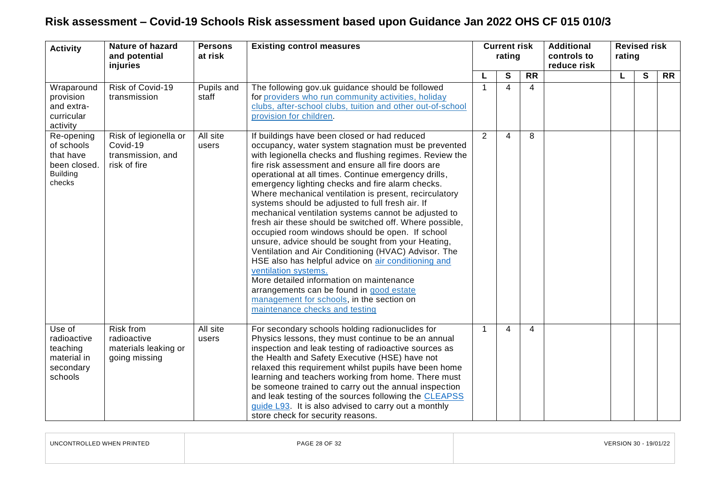| <b>Activity</b>                                                                    | <b>Nature of hazard</b><br><b>Persons</b><br><b>Existing control measures</b><br>at risk<br>and potential<br>injuries |                     | <b>Current risk</b><br>rating                                                                                                                                                                                                                                                                                                                                                                                                                                                                                                                                                                                                                                                                                                                                                                                                                                                                                                                                                             |              | <b>Additional</b><br>controls to<br>reduce risk |           | <b>Revised risk</b><br>rating |  |   |           |
|------------------------------------------------------------------------------------|-----------------------------------------------------------------------------------------------------------------------|---------------------|-------------------------------------------------------------------------------------------------------------------------------------------------------------------------------------------------------------------------------------------------------------------------------------------------------------------------------------------------------------------------------------------------------------------------------------------------------------------------------------------------------------------------------------------------------------------------------------------------------------------------------------------------------------------------------------------------------------------------------------------------------------------------------------------------------------------------------------------------------------------------------------------------------------------------------------------------------------------------------------------|--------------|-------------------------------------------------|-----------|-------------------------------|--|---|-----------|
|                                                                                    |                                                                                                                       |                     |                                                                                                                                                                                                                                                                                                                                                                                                                                                                                                                                                                                                                                                                                                                                                                                                                                                                                                                                                                                           | L            | S                                               | <b>RR</b> |                               |  | S | <b>RR</b> |
| Wraparound<br>provision<br>and extra-<br>curricular<br>activity                    | Risk of Covid-19<br>transmission                                                                                      | Pupils and<br>staff | The following gov.uk guidance should be followed<br>for providers who run community activities, holiday<br>clubs, after-school clubs, tuition and other out-of-school<br>provision for children.                                                                                                                                                                                                                                                                                                                                                                                                                                                                                                                                                                                                                                                                                                                                                                                          | -1           | 4                                               | 4         |                               |  |   |           |
| Re-opening<br>of schools<br>that have<br>been closed.<br><b>Building</b><br>checks | Risk of legionella or<br>Covid-19<br>transmission, and<br>risk of fire                                                | All site<br>users   | If buildings have been closed or had reduced<br>occupancy, water system stagnation must be prevented<br>with legionella checks and flushing regimes. Review the<br>fire risk assessment and ensure all fire doors are<br>operational at all times. Continue emergency drills,<br>emergency lighting checks and fire alarm checks.<br>Where mechanical ventilation is present, recirculatory<br>systems should be adjusted to full fresh air. If<br>mechanical ventilation systems cannot be adjusted to<br>fresh air these should be switched off. Where possible,<br>occupied room windows should be open. If school<br>unsure, advice should be sought from your Heating,<br>Ventilation and Air Conditioning (HVAC) Advisor. The<br>HSE also has helpful advice on air conditioning and<br>ventilation systems.<br>More detailed information on maintenance<br>arrangements can be found in good estate<br>management for schools, in the section on<br>maintenance checks and testing | 2            | 4                                               | 8         |                               |  |   |           |
| Use of<br>radioactive<br>teaching<br>material in<br>secondary<br>schools           | Risk from<br>radioactive<br>materials leaking or<br>going missing                                                     | All site<br>users   | For secondary schools holding radionuclides for<br>Physics lessons, they must continue to be an annual<br>inspection and leak testing of radioactive sources as<br>the Health and Safety Executive (HSE) have not<br>relaxed this requirement whilst pupils have been home<br>learning and teachers working from home. There must<br>be someone trained to carry out the annual inspection<br>and leak testing of the sources following the CLEAPSS<br>guide L93. It is also advised to carry out a monthly<br>store check for security reasons.                                                                                                                                                                                                                                                                                                                                                                                                                                          | $\mathbf{1}$ | 4                                               | 4         |                               |  |   |           |

| LINCO<br>LLED WHEN PRINTED<br>וני<br>זכו דו אר | PAGE 28 OF 32 | 19/01/2 |
|------------------------------------------------|---------------|---------|
|                                                |               |         |

 $\sim$   $\sim$   $\sim$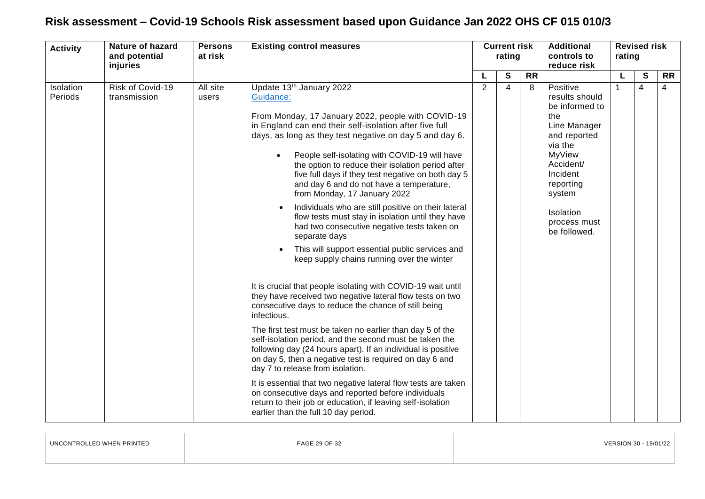<span id="page-28-0"></span>

| <b>Activity</b>      | <b>Nature of hazard</b><br>and potential<br>injuries | <b>Persons</b><br>at risk | <b>Existing control measures</b>                                                                                                                                                                                                                                                                                                                                                                                                                                                                                                                                                                                                                                                                                                                                                                                                                                                                                                                                                                                                                                                                                                                                                                                                                                                                                                                                                                                                                                               | <b>Current risk</b><br>rating |                |           | <b>Additional</b><br>controls to<br>reduce risk                                                                                                                                                       | rating | <b>Revised risk</b> |                |
|----------------------|------------------------------------------------------|---------------------------|--------------------------------------------------------------------------------------------------------------------------------------------------------------------------------------------------------------------------------------------------------------------------------------------------------------------------------------------------------------------------------------------------------------------------------------------------------------------------------------------------------------------------------------------------------------------------------------------------------------------------------------------------------------------------------------------------------------------------------------------------------------------------------------------------------------------------------------------------------------------------------------------------------------------------------------------------------------------------------------------------------------------------------------------------------------------------------------------------------------------------------------------------------------------------------------------------------------------------------------------------------------------------------------------------------------------------------------------------------------------------------------------------------------------------------------------------------------------------------|-------------------------------|----------------|-----------|-------------------------------------------------------------------------------------------------------------------------------------------------------------------------------------------------------|--------|---------------------|----------------|
|                      |                                                      |                           |                                                                                                                                                                                                                                                                                                                                                                                                                                                                                                                                                                                                                                                                                                                                                                                                                                                                                                                                                                                                                                                                                                                                                                                                                                                                                                                                                                                                                                                                                |                               | S              | <b>RR</b> |                                                                                                                                                                                                       |        | S                   | <b>RR</b>      |
| Isolation<br>Periods | Risk of Covid-19<br>transmission                     | All site<br>users         | Update 13th January 2022<br>Guidance:<br>From Monday, 17 January 2022, people with COVID-19<br>in England can end their self-isolation after five full<br>days, as long as they test negative on day 5 and day 6.<br>People self-isolating with COVID-19 will have<br>$\bullet$<br>the option to reduce their isolation period after<br>five full days if they test negative on both day 5<br>and day 6 and do not have a temperature,<br>from Monday, 17 January 2022<br>Individuals who are still positive on their lateral<br>flow tests must stay in isolation until they have<br>had two consecutive negative tests taken on<br>separate days<br>This will support essential public services and<br>keep supply chains running over the winter<br>It is crucial that people isolating with COVID-19 wait until<br>they have received two negative lateral flow tests on two<br>consecutive days to reduce the chance of still being<br>infectious.<br>The first test must be taken no earlier than day 5 of the<br>self-isolation period, and the second must be taken the<br>following day (24 hours apart). If an individual is positive<br>on day 5, then a negative test is required on day 6 and<br>day 7 to release from isolation.<br>It is essential that two negative lateral flow tests are taken<br>on consecutive days and reported before individuals<br>return to their job or education, if leaving self-isolation<br>earlier than the full 10 day period. | 2                             | $\overline{4}$ | 8         | Positive<br>results should<br>be informed to<br>the<br>Line Manager<br>and reported<br>via the<br>MyView<br>Accident/<br>Incident<br>reporting<br>system<br>Isolation<br>process must<br>be followed. |        | $\overline{4}$      | $\overline{4}$ |

| UNCONTROLLED WHEN PRINTED | PAGE 29 OF 32 | VERSION 30 - 19/01/22 |
|---------------------------|---------------|-----------------------|
|                           |               |                       |

 $\overline{\phantom{a}}$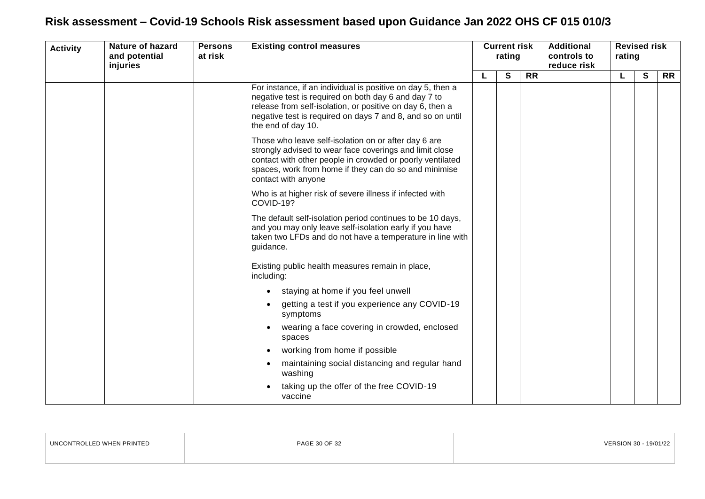| <b>Activity</b> | <b>Nature of hazard</b><br>and potential<br>injuries | <b>Persons</b><br>at risk | <b>Existing control measures</b>                                                                                                                                                                                                                                     | <b>Current risk</b><br>rating |              |                 |  |    | <b>Additional</b><br>controls to<br>reduce risk | <b>Revised risk</b><br>rating |  |  |  |
|-----------------|------------------------------------------------------|---------------------------|----------------------------------------------------------------------------------------------------------------------------------------------------------------------------------------------------------------------------------------------------------------------|-------------------------------|--------------|-----------------|--|----|-------------------------------------------------|-------------------------------|--|--|--|
|                 |                                                      |                           |                                                                                                                                                                                                                                                                      |                               | $\mathbf{s}$ | $\overline{RR}$ |  | L. | $\mathbf{s}$                                    | <b>RR</b>                     |  |  |  |
|                 |                                                      |                           | For instance, if an individual is positive on day 5, then a<br>negative test is required on both day 6 and day 7 to<br>release from self-isolation, or positive on day 6, then a<br>negative test is required on days 7 and 8, and so on until<br>the end of day 10. |                               |              |                 |  |    |                                                 |                               |  |  |  |
|                 |                                                      |                           | Those who leave self-isolation on or after day 6 are<br>strongly advised to wear face coverings and limit close<br>contact with other people in crowded or poorly ventilated<br>spaces, work from home if they can do so and minimise<br>contact with anyone         |                               |              |                 |  |    |                                                 |                               |  |  |  |
|                 |                                                      |                           | Who is at higher risk of severe illness if infected with<br>COVID-19?                                                                                                                                                                                                |                               |              |                 |  |    |                                                 |                               |  |  |  |
|                 |                                                      |                           | The default self-isolation period continues to be 10 days,<br>and you may only leave self-isolation early if you have<br>taken two LFDs and do not have a temperature in line with<br>guidance.                                                                      |                               |              |                 |  |    |                                                 |                               |  |  |  |
|                 |                                                      |                           | Existing public health measures remain in place,<br>including:                                                                                                                                                                                                       |                               |              |                 |  |    |                                                 |                               |  |  |  |
|                 |                                                      |                           | staying at home if you feel unwell                                                                                                                                                                                                                                   |                               |              |                 |  |    |                                                 |                               |  |  |  |
|                 |                                                      |                           | getting a test if you experience any COVID-19<br>symptoms                                                                                                                                                                                                            |                               |              |                 |  |    |                                                 |                               |  |  |  |
|                 |                                                      |                           | wearing a face covering in crowded, enclosed<br>spaces                                                                                                                                                                                                               |                               |              |                 |  |    |                                                 |                               |  |  |  |
|                 |                                                      |                           | working from home if possible                                                                                                                                                                                                                                        |                               |              |                 |  |    |                                                 |                               |  |  |  |
|                 |                                                      |                           | maintaining social distancing and regular hand<br>washing                                                                                                                                                                                                            |                               |              |                 |  |    |                                                 |                               |  |  |  |
|                 |                                                      |                           | taking up the offer of the free COVID-19<br>vaccine                                                                                                                                                                                                                  |                               |              |                 |  |    |                                                 |                               |  |  |  |

| UNCONTROLLED WHEN PRINTED | PAGE 30 OF 32 | VERSION 30 - 19/01/22 |
|---------------------------|---------------|-----------------------|
|                           |               |                       |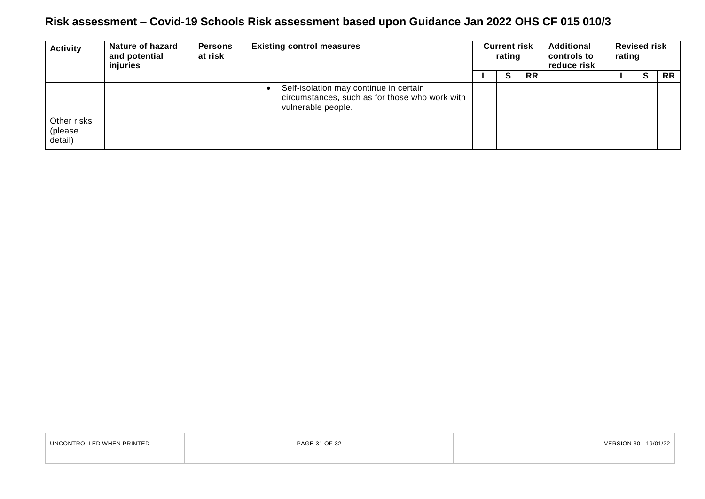| <b>Activity</b>                   | <b>Nature of hazard</b><br>and potential<br>injuries | <b>Persons</b><br>at risk | <b>Existing control measures</b>                                                                               | <b>Current risk</b><br>rating |           | <b>Additional</b><br>controls to<br>reduce risk | <b>Revised risk</b><br>rating |          |           |
|-----------------------------------|------------------------------------------------------|---------------------------|----------------------------------------------------------------------------------------------------------------|-------------------------------|-----------|-------------------------------------------------|-------------------------------|----------|-----------|
|                                   |                                                      |                           |                                                                                                                | S                             | <b>RR</b> |                                                 |                               | <b>S</b> | <b>RR</b> |
|                                   |                                                      |                           | Self-isolation may continue in certain<br>circumstances, such as for those who work with<br>vulnerable people. |                               |           |                                                 |                               |          |           |
| Other risks<br>(please<br>detail) |                                                      |                           |                                                                                                                |                               |           |                                                 |                               |          |           |

| UNCONTROLLED WHEN PRINTED | PAGE 31 OF 32 | VERSION 30 - 19/01/22 |
|---------------------------|---------------|-----------------------|
|                           |               |                       |